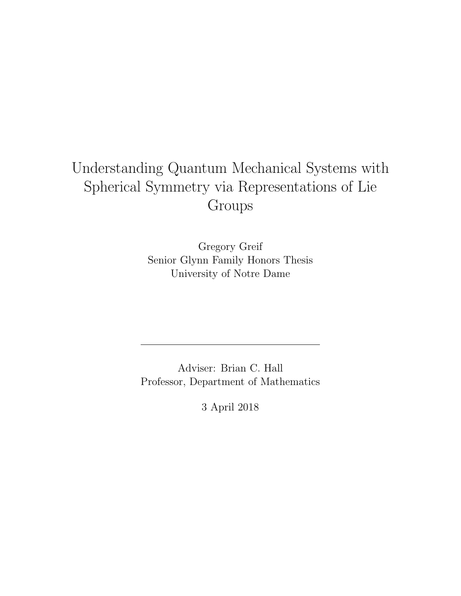# Understanding Quantum Mechanical Systems with Spherical Symmetry via Representations of Lie Groups

Gregory Greif Senior Glynn Family Honors Thesis University of Notre Dame

Adviser: Brian C. Hall Professor, Department of Mathematics

3 April 2018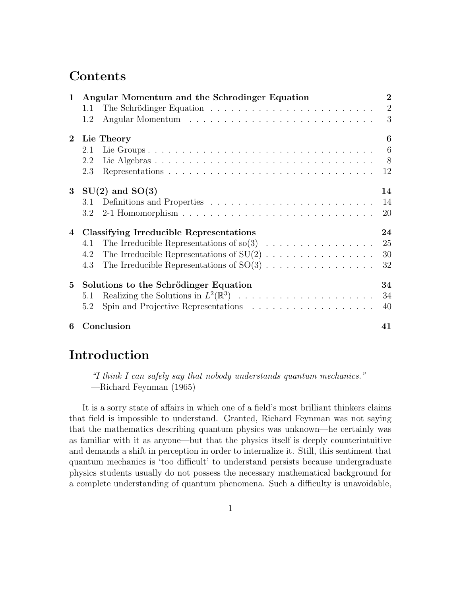# **Contents**

| $\mathbf{1}$   | Angular Momentum and the Schrodinger Equation |                                                                                         | $\overline{2}$ |
|----------------|-----------------------------------------------|-----------------------------------------------------------------------------------------|----------------|
|                | 1.1                                           |                                                                                         | $\overline{2}$ |
|                | 1.2                                           |                                                                                         | 3              |
| $2^{\circ}$    | Lie Theory<br>6                               |                                                                                         |                |
|                | 2.1                                           |                                                                                         | 6              |
|                | 2.2                                           |                                                                                         |                |
|                | 2.3                                           | Representations $\ldots \ldots \ldots \ldots \ldots \ldots \ldots \ldots \ldots \ldots$ | 12             |
|                | 3 $SU(2)$ and $SO(3)$                         |                                                                                         |                |
|                | 3.1                                           |                                                                                         | 14             |
|                |                                               |                                                                                         | 20             |
| $\overline{4}$ |                                               | 24<br>Classifying Irreducible Representations                                           |                |
|                | 4.1                                           |                                                                                         | 25             |
|                | 4.2                                           |                                                                                         | 30             |
|                | 4.3                                           |                                                                                         | 32             |
| $5^{\circ}$    | Solutions to the Schrödinger Equation         |                                                                                         | 34             |
|                | 5.1                                           |                                                                                         | 34             |
|                | 5.2                                           | Spin and Projective Representations $\ldots \ldots \ldots \ldots \ldots$                | 40             |
| 6              | Conclusion                                    |                                                                                         | 41             |

# Introduction

"I think I can safely say that nobody understands quantum mechanics." —Richard Feynman (1965)

It is a sorry state of affairs in which one of a field's most brilliant thinkers claims that field is impossible to understand. Granted, Richard Feynman was not saying that the mathematics describing quantum physics was unknown—he certainly was as familiar with it as anyone—but that the physics itself is deeply counterintuitive and demands a shift in perception in order to internalize it. Still, this sentiment that quantum mechanics is 'too difficult' to understand persists because undergraduate physics students usually do not possess the necessary mathematical background for a complete understanding of quantum phenomena. Such a difficulty is unavoidable,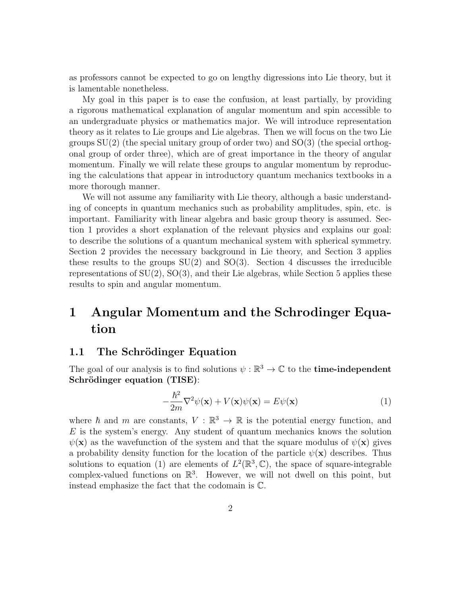as professors cannot be expected to go on lengthy digressions into Lie theory, but it is lamentable nonetheless.

My goal in this paper is to ease the confusion, at least partially, by providing a rigorous mathematical explanation of angular momentum and spin accessible to an undergraduate physics or mathematics major. We will introduce representation theory as it relates to Lie groups and Lie algebras. Then we will focus on the two Lie groups  $SU(2)$  (the special unitary group of order two) and  $SO(3)$  (the special orthogonal group of order three), which are of great importance in the theory of angular momentum. Finally we will relate these groups to angular momentum by reproducing the calculations that appear in introductory quantum mechanics textbooks in a more thorough manner.

We will not assume any familiarity with Lie theory, although a basic understanding of concepts in quantum mechanics such as probability amplitudes, spin, etc. is important. Familiarity with linear algebra and basic group theory is assumed. Section 1 provides a short explanation of the relevant physics and explains our goal: to describe the solutions of a quantum mechanical system with spherical symmetry. Section 2 provides the necessary background in Lie theory, and Section 3 applies these results to the groups  $SU(2)$  and  $SO(3)$ . Section 4 discusses the irreducible representations of  $SU(2)$ ,  $SO(3)$ , and their Lie algebras, while Section 5 applies these results to spin and angular momentum.

# 1 Angular Momentum and the Schrodinger Equation

### 1.1 The Schrödinger Equation

The goal of our analysis is to find solutions  $\psi : \mathbb{R}^3 \to \mathbb{C}$  to the **time-independent** Schrödinger equation (TISE):

$$
-\frac{\hbar^2}{2m}\nabla^2\psi(\mathbf{x}) + V(\mathbf{x})\psi(\mathbf{x}) = E\psi(\mathbf{x})
$$
\n(1)

where  $\hbar$  and m are constants,  $V : \mathbb{R}^3 \to \mathbb{R}$  is the potential energy function, and  $E$  is the system's energy. Any student of quantum mechanics knows the solution  $\psi(\mathbf{x})$  as the wavefunction of the system and that the square modulus of  $\psi(\mathbf{x})$  gives a probability density function for the location of the particle  $\psi(\mathbf{x})$  describes. Thus solutions to equation (1) are elements of  $L^2(\mathbb{R}^3, \mathbb{C})$ , the space of square-integrable complex-valued functions on  $\mathbb{R}^3$ . However, we will not dwell on this point, but instead emphasize the fact that the codomain is C.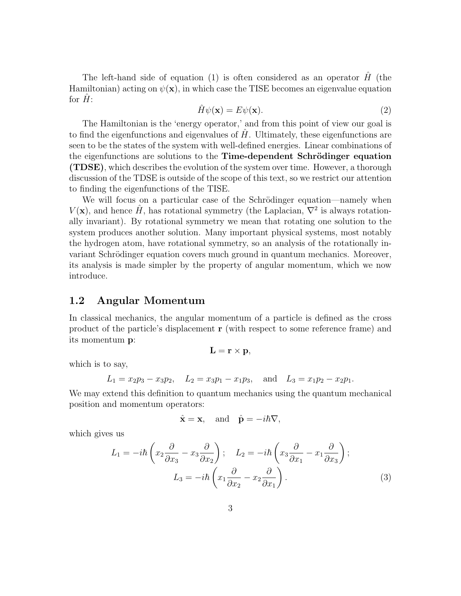The left-hand side of equation (1) is often considered as an operator  $\hat{H}$  (the Hamiltonian) acting on  $\psi(\mathbf{x})$ , in which case the TISE becomes an eigenvalue equation for  $H$ :

$$
\hat{H}\psi(\mathbf{x}) = E\psi(\mathbf{x}).\tag{2}
$$

The Hamiltonian is the 'energy operator,' and from this point of view our goal is to find the eigenfunctions and eigenvalues of  $H$ . Ultimately, these eigenfunctions are seen to be the states of the system with well-defined energies. Linear combinations of the eigenfunctions are solutions to the Time-dependent Schrödinger equation (TDSE), which describes the evolution of the system over time. However, a thorough discussion of the TDSE is outside of the scope of this text, so we restrict our attention to finding the eigenfunctions of the TISE.

We will focus on a particular case of the Schrödinger equation—namely when  $V(\mathbf{x})$ , and hence  $\hat{H}$ , has rotational symmetry (the Laplacian,  $\nabla^2$  is always rotationally invariant). By rotational symmetry we mean that rotating one solution to the system produces another solution. Many important physical systems, most notably the hydrogen atom, have rotational symmetry, so an analysis of the rotationally invariant Schrödinger equation covers much ground in quantum mechanics. Moreover, its analysis is made simpler by the property of angular momentum, which we now introduce.

### 1.2 Angular Momentum

In classical mechanics, the angular momentum of a particle is defined as the cross product of the particle's displacement r (with respect to some reference frame) and its momentum p:

$$
\mathbf{L} = \mathbf{r} \times \mathbf{p},
$$

which is to say,

$$
L_1 = x_2p_3 - x_3p_2
$$
,  $L_2 = x_3p_1 - x_1p_3$ , and  $L_3 = x_1p_2 - x_2p_1$ .

We may extend this definition to quantum mechanics using the quantum mechanical position and momentum operators:

$$
\hat{\mathbf{x}} = \mathbf{x}
$$
, and  $\hat{\mathbf{p}} = -i\hbar \nabla$ ,

which gives us

$$
L_1 = -i\hbar \left( x_2 \frac{\partial}{\partial x_3} - x_3 \frac{\partial}{\partial x_2} \right); \quad L_2 = -i\hbar \left( x_3 \frac{\partial}{\partial x_1} - x_1 \frac{\partial}{\partial x_3} \right);
$$

$$
L_3 = -i\hbar \left( x_1 \frac{\partial}{\partial x_2} - x_2 \frac{\partial}{\partial x_1} \right).
$$
(3)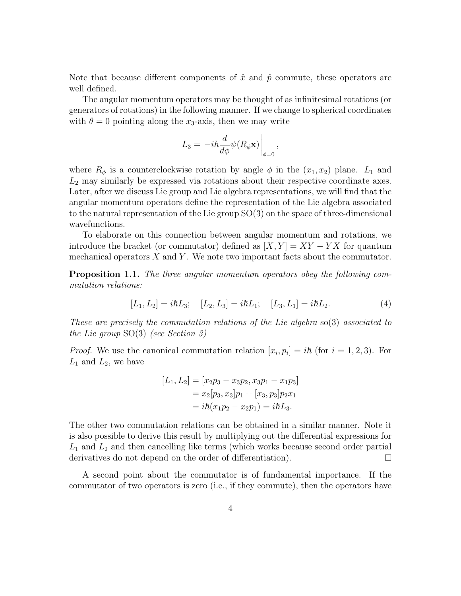Note that because different components of  $\hat{x}$  and  $\hat{p}$  commute, these operators are well defined.

The angular momentum operators may be thought of as infinitesimal rotations (or generators of rotations) in the following manner. If we change to spherical coordinates with  $\theta = 0$  pointing along the x<sub>3</sub>-axis, then we may write

$$
L_3 = -i\hbar \frac{d}{d\phi} \psi(R_{\phi} \mathbf{x}) \bigg|_{\phi=0},
$$

where  $R_{\phi}$  is a counterclockwise rotation by angle  $\phi$  in the  $(x_1, x_2)$  plane.  $L_1$  and  $L_2$  may similarly be expressed via rotations about their respective coordinate axes. Later, after we discuss Lie group and Lie algebra representations, we will find that the angular momentum operators define the representation of the Lie algebra associated to the natural representation of the Lie group SO(3) on the space of three-dimensional wavefunctions.

To elaborate on this connection between angular momentum and rotations, we introduce the bracket (or commutator) defined as  $[X, Y] = XY - YX$  for quantum mechanical operators  $X$  and  $Y$ . We note two important facts about the commutator.

Proposition 1.1. The three angular momentum operators obey the following commutation relations:

$$
[L_1, L_2] = i\hbar L_3; \quad [L_2, L_3] = i\hbar L_1; \quad [L_3, L_1] = i\hbar L_2.
$$
 (4)

These are precisely the commutation relations of the Lie algebra so(3) associated to the Lie group SO(3) (see Section 3)

*Proof.* We use the canonical commutation relation  $[x_i, p_i] = i\hbar$  (for  $i = 1, 2, 3$ ). For  $L_1$  and  $L_2$ , we have

$$
[L_1, L_2] = [x_2p_3 - x_3p_2, x_3p_1 - x_1p_3]
$$
  
=  $x_2[p_3, x_3]p_1 + [x_3, p_3]p_2x_1$   
=  $i\hbar(x_1p_2 - x_2p_1) = i\hbar L_3$ .

The other two commutation relations can be obtained in a similar manner. Note it is also possible to derive this result by multiplying out the differential expressions for  $L_1$  and  $L_2$  and then cancelling like terms (which works because second order partial derivatives do not depend on the order of differentiation).  $\Box$ 

A second point about the commutator is of fundamental importance. If the commutator of two operators is zero (i.e., if they commute), then the operators have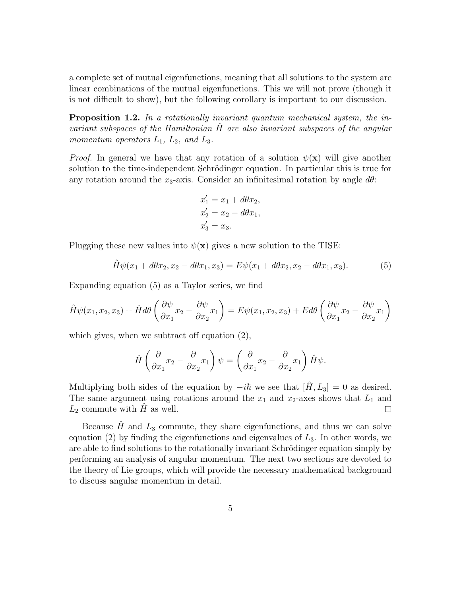a complete set of mutual eigenfunctions, meaning that all solutions to the system are linear combinations of the mutual eigenfunctions. This we will not prove (though it is not difficult to show), but the following corollary is important to our discussion.

**Proposition 1.2.** In a rotationally invariant quantum mechanical system, the invariant subspaces of the Hamiltonian  $H$  are also invariant subspaces of the angular momentum operators  $L_1$ ,  $L_2$ , and  $L_3$ .

*Proof.* In general we have that any rotation of a solution  $\psi(\mathbf{x})$  will give another solution to the time-independent Schrödinger equation. In particular this is true for any rotation around the  $x_3$ -axis. Consider an infinitesimal rotation by angle  $d\theta$ :

$$
x'_1 = x_1 + d\theta x_2,
$$
  
\n
$$
x'_2 = x_2 - d\theta x_1,
$$
  
\n
$$
x'_3 = x_3.
$$

Plugging these new values into  $\psi(\mathbf{x})$  gives a new solution to the TISE:

$$
\hat{H}\psi(x_1 + d\theta x_2, x_2 - d\theta x_1, x_3) = E\psi(x_1 + d\theta x_2, x_2 - d\theta x_1, x_3).
$$
 (5)

Expanding equation (5) as a Taylor series, we find

$$
\hat{H}\psi(x_1, x_2, x_3) + \hat{H}d\theta \left(\frac{\partial \psi}{\partial x_1}x_2 - \frac{\partial \psi}{\partial x_2}x_1\right) = E\psi(x_1, x_2, x_3) + Ed\theta \left(\frac{\partial \psi}{\partial x_1}x_2 - \frac{\partial \psi}{\partial x_2}x_1\right)
$$

which gives, when we subtract off equation (2),

$$
\hat{H}\left(\frac{\partial}{\partial x_1}x_2 - \frac{\partial}{\partial x_2}x_1\right)\psi = \left(\frac{\partial}{\partial x_1}x_2 - \frac{\partial}{\partial x_2}x_1\right)\hat{H}\psi.
$$

Multiplying both sides of the equation by  $-i\hbar$  we see that  $[\hat{H}, L_3] = 0$  as desired. The same argument using rotations around the  $x_1$  and  $x_2$ -axes shows that  $L_1$  and  $L_2$  commute with H as well.  $\Box$ 

Because  $\hat{H}$  and  $L_3$  commute, they share eigenfunctions, and thus we can solve equation (2) by finding the eigenfunctions and eigenvalues of  $L<sub>3</sub>$ . In other words, we are able to find solutions to the rotationally invariant Schrödinger equation simply by performing an analysis of angular momentum. The next two sections are devoted to the theory of Lie groups, which will provide the necessary mathematical background to discuss angular momentum in detail.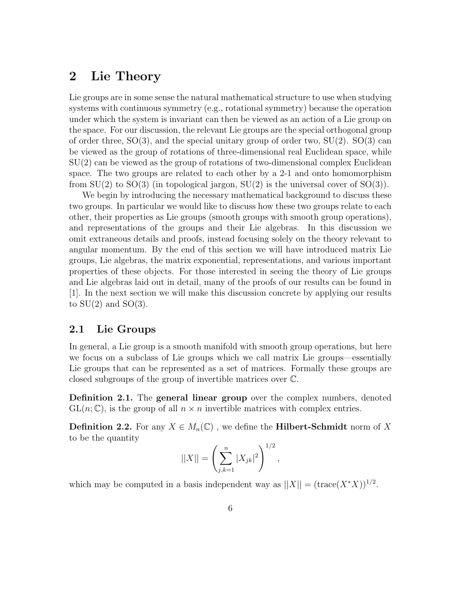# 2 Lie Theory

Lie groups are in some sense the natural mathematical structure to use when studying systems with continuous symmetry (e.g., rotational symmetry) because the operation under which the system is invariant can then be viewed as an action of a Lie group on the space. For our discussion, the relevant Lie groups are the special orthogonal group of order three,  $SO(3)$ , and the special unitary group of order two,  $SU(2)$ .  $SO(3)$  can be viewed as the group of rotations of three-dimensional real Euclidean space, while SU(2) can be viewed as the group of rotations of two-dimensional complex Euclidean space. The two groups are related to each other by a 2-1 and onto homomorphism from  $SU(2)$  to  $SO(3)$  (in topological jargon,  $SU(2)$  is the universal cover of  $SO(3)$ ).

We begin by introducing the necessary mathematical background to discuss these two groups. In particular we would like to discuss how these two groups relate to each other, their properties as Lie groups (smooth groups with smooth group operations), and representations of the groups and their Lie algebras. In this discussion we omit extraneous details and proofs, instead focusing solely on the theory relevant to angular momentum. By the end of this section we will have introduced matrix Lie groups, Lie algebras, the matrix exponential, representations, and various important properties of these objects. For those interested in seeing the theory of Lie groups and Lie algebras laid out in detail, many of the proofs of our results can be found in [1]. In the next section we will make this discussion concrete by applying our results to  $SU(2)$  and  $SO(3)$ .

### 2.1 Lie Groups

In general, a Lie group is a smooth manifold with smooth group operations, but here we focus on a subclass of Lie groups which we call matrix Lie groups—essentially Lie groups that can be represented as a set of matrices. Formally these groups are closed subgroups of the group of invertible matrices over C.

Definition 2.1. The general linear group over the complex numbers, denoted  $GL(n;\mathbb{C})$ , is the group of all  $n \times n$  invertible matrices with complex entries.

**Definition 2.2.** For any  $X \in M_n(\mathbb{C})$ , we define the **Hilbert-Schmidt** norm of X to be the quantity

$$
||X|| = \left(\sum_{j,k=1}^{n} |X_{jk}|^2\right)^{1/2},
$$

which may be computed in a basis independent way as  $||X|| = (\text{trace}(X^*X))^{1/2}$ .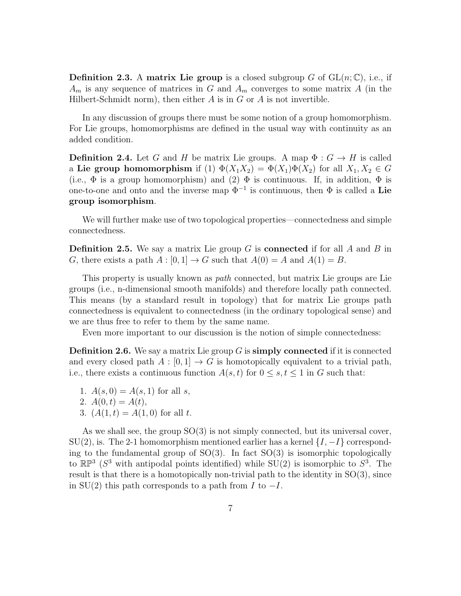**Definition 2.3.** A matrix Lie group is a closed subgroup G of  $GL(n;\mathbb{C})$ , i.e., if  $A_m$  is any sequence of matrices in G and  $A_m$  converges to some matrix A (in the Hilbert-Schmidt norm), then either  $A$  is in  $G$  or  $A$  is not invertible.

In any discussion of groups there must be some notion of a group homomorphism. For Lie groups, homomorphisms are defined in the usual way with continuity as an added condition.

**Definition 2.4.** Let G and H be matrix Lie groups. A map  $\Phi: G \to H$  is called a Lie group homomorphism if (1)  $\Phi(X_1X_2) = \Phi(X_1)\Phi(X_2)$  for all  $X_1, X_2 \in G$ (i.e.,  $\Phi$  is a group homomorphism) and (2)  $\Phi$  is continuous. If, in addition,  $\Phi$  is one-to-one and onto and the inverse map  $\Phi^{-1}$  is continuous, then  $\Phi$  is called a Lie group isomorphism.

We will further make use of two topological properties—connectedness and simple connectedness.

**Definition 2.5.** We say a matrix Lie group G is **connected** if for all A and B in G, there exists a path  $A : [0, 1] \to G$  such that  $A(0) = A$  and  $A(1) = B$ .

This property is usually known as path connected, but matrix Lie groups are Lie groups (i.e., n-dimensional smooth manifolds) and therefore locally path connected. This means (by a standard result in topology) that for matrix Lie groups path connectedness is equivalent to connectedness (in the ordinary topological sense) and we are thus free to refer to them by the same name.

Even more important to our discussion is the notion of simple connectedness:

**Definition 2.6.** We say a matrix Lie group  $G$  is **simply connected** if it is connected and every closed path  $A : [0, 1] \rightarrow G$  is homotopically equivalent to a trivial path, i.e., there exists a continuous function  $A(s,t)$  for  $0 \leq s,t \leq 1$  in G such that:

- 1.  $A(s, 0) = A(s, 1)$  for all s,
- 2.  $A(0,t) = A(t)$ ,
- 3.  $(A(1,t) = A(1,0)$  for all t.

As we shall see, the group SO(3) is not simply connected, but its universal cover,  $SU(2)$ , is. The 2-1 homomorphism mentioned earlier has a kernel  $\{I, -I\}$  corresponding to the fundamental group of  $SO(3)$ . In fact  $SO(3)$  is isomorphic topologically to  $\mathbb{RP}^3$  ( $S^3$  with antipodal points identified) while SU(2) is isomorphic to  $S^3$ . The result is that there is a homotopically non-trivial path to the identity in SO(3), since in SU(2) this path corresponds to a path from I to  $-I$ .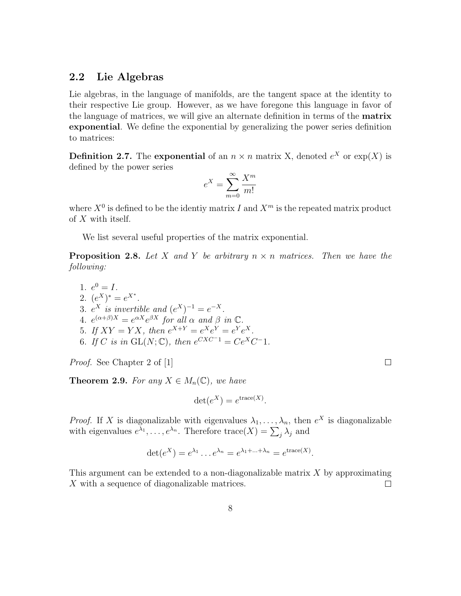### 2.2 Lie Algebras

Lie algebras, in the language of manifolds, are the tangent space at the identity to their respective Lie group. However, as we have foregone this language in favor of the language of matrices, we will give an alternate definition in terms of the matrix exponential. We define the exponential by generalizing the power series definition to matrices:

**Definition 2.7.** The exponential of an  $n \times n$  matrix X, denoted  $e^X$  or  $\exp(X)$  is defined by the power series

$$
e^X = \sum_{m=0}^{\infty} \frac{X^m}{m!}
$$

where  $X^0$  is defined to be the identiy matrix I and  $X^m$  is the repeated matrix product of X with itself.

We list several useful properties of the matrix exponential.

**Proposition 2.8.** Let X and Y be arbitrary  $n \times n$  matrices. Then we have the following:

1.  $e^0 = I$ . 2.  $(e^X)^* = e^{X^*}.$ 3.  $e^X$  is invertible and  $(e^X)^{-1} = e^{-X}$ . 4.  $e^{(\alpha+\beta)X} = e^{\alpha X} e^{\beta X}$  for all  $\alpha$  and  $\beta$  in  $\mathbb{C}$ . 5. If  $XY = YX$ , then  $e^{X+Y} = e^X e^Y = e^Y e^X$ . 6. If C is in  $GL(N; \mathbb{C})$ , then  $e^{CXC-1} = Ce^XC^{-1}$ .

Proof. See Chapter 2 of [1]

**Theorem 2.9.** For any  $X \in M_n(\mathbb{C})$ , we have

$$
\det(e^X) = e^{\text{trace}(X)}
$$

.

 $\Box$ 

*Proof.* If X is diagonalizable with eigenvalues  $\lambda_1, \ldots, \lambda_n$ , then  $e^X$  is diagonalizable with eigenvalues  $e^{\lambda_1}, \ldots, e^{\lambda_n}$ . Therefore  $\text{trace}(X) = \sum_j \lambda_j$  and

$$
\det(e^X) = e^{\lambda_1} \dots e^{\lambda_n} = e^{\lambda_1 + \dots + \lambda_n} = e^{\operatorname{trace}(X)}.
$$

This argument can be extended to a non-diagonalizable matrix  $X$  by approximating X with a sequence of diagonalizable matrices.  $\Box$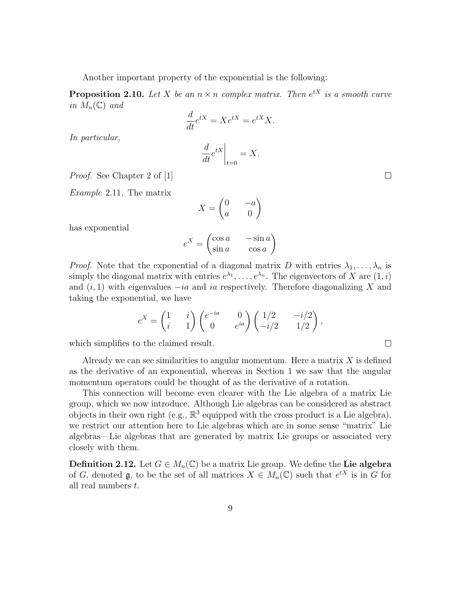Another important property of the exponential is the following:

**Proposition 2.10.** Let X be an  $n \times n$  complex matrix. Then  $e^{tX}$  is a smooth curve in  $M_n(\mathbb{C})$  and

$$
\frac{d}{dt}e^{tX} = Xe^{tX} = e^{tX}X.
$$

In particular,

$$
\left. \frac{d}{dt} e^{tX} \right|_{t=0} = X.
$$

Proof. See Chapter 2 of [1]

Example 2.11. The matrix

$$
X = \begin{pmatrix} 0 & -a \\ a & 0 \end{pmatrix}
$$

has exponential

$$
e^X = \begin{pmatrix} \cos a & -\sin a \\ \sin a & \cos a \end{pmatrix}
$$

*Proof.* Note that the exponential of a diagonal matrix D with entries  $\lambda_1, \ldots, \lambda_n$  is simply the diagonal matrix with entries  $e^{\lambda_1}, \ldots, e^{\lambda_n}$ . The eigenvectors of X are  $(1, i)$ and  $(i, 1)$  with eigenvalues  $-i\alpha$  and ia respectively. Therefore diagonalizing X and taking the exponential, we have

$$
e^X = \begin{pmatrix} 1 & i \\ i & 1 \end{pmatrix} \begin{pmatrix} e^{-ia} & 0 \\ 0 & e^{ia} \end{pmatrix} \begin{pmatrix} 1/2 & -i/2 \\ -i/2 & 1/2 \end{pmatrix},
$$

which simplifies to the claimed result.

Already we can see similarities to angular momentum. Here a matrix  $X$  is defined as the derivative of an exponential, whereas in Section 1 we saw that the angular momentum operators could be thought of as the derivative of a rotation.

This connection will become even clearer with the Lie algebra of a matrix Lie group, which we now introduce. Although Lie algebras can be considered as abstract objects in their own right (e.g.,  $\mathbb{R}^3$  equipped with the cross product is a Lie algebra), we restrict our attention here to Lie algebras which are in some sense "matrix" Lie algebras—Lie algebras that are generated by matrix Lie groups or associated very closely with them.

**Definition 2.12.** Let  $G \in M_n(\mathbb{C})$  be a matrix Lie group. We define the Lie algebra of G, denoted  $\mathfrak{g}$ , to be the set of all matrices  $X \in M_n(\mathbb{C})$  such that  $e^{tX}$  is in G for all real numbers t.

 $\Box$ 

 $\Box$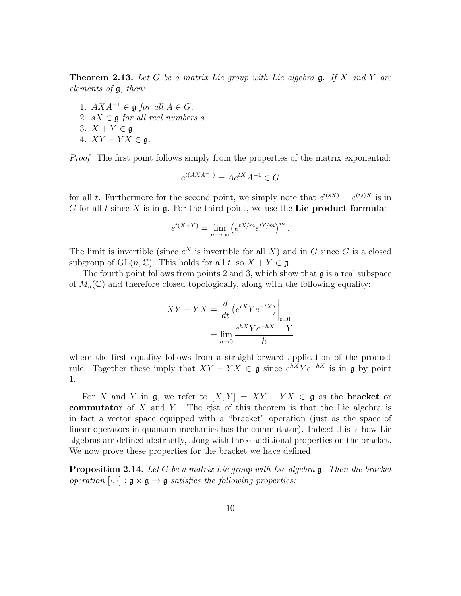**Theorem 2.13.** Let G be a matrix Lie group with Lie algebra  $\mathfrak{g}$ . If X and Y are elements of g, then:

- 1.  $AXA^{-1} \in \mathfrak{g}$  for all  $A \in G$ .
- 2.  $sX \in \mathfrak{g}$  for all real numbers s.
- 3.  $X + Y \in \mathfrak{g}$
- 4.  $XY YX \in \mathfrak{g}$ .

Proof. The first point follows simply from the properties of the matrix exponential:

$$
e^{t(AXA^{-1})} = Ae^{tX}A^{-1} \in G
$$

for all t. Furthermore for the second point, we simply note that  $e^{t(sX)} = e^{(ts)X}$  is in G for all t since X is in  $\mathfrak g$ . For the third point, we use the Lie product formula:

$$
e^{t(X+Y)} = \lim_{m \to \infty} \left( e^{tX/m} e^{tY/m} \right)^m.
$$

The limit is invertible (since  $e^X$  is invertible for all X) and in G since G is a closed subgroup of  $GL(n,\mathbb{C})$ . This holds for all t, so  $X + Y \in \mathfrak{g}$ .

The fourth point follows from points 2 and 3, which show that  $\mathfrak g$  is a real subspace of  $M_n(\mathbb{C})$  and therefore closed topologically, along with the following equality:

$$
XY - YX = \frac{d}{dt} \left( e^{tX} Y e^{-tX} \right) \Big|_{t=0}
$$

$$
= \lim_{h \to 0} \frac{e^{hX} Y e^{-hX} - Y}{h}
$$

where the first equality follows from a straightforward application of the product rule. Together these imply that  $XY - YX \in \mathfrak{g}$  since  $e^{hX}Ye^{-hX}$  is in  $\mathfrak{g}$  by point 1.  $\Box$ 

For X and Y in  $\mathfrak{g}$ , we refer to  $[X, Y] = XY - YX \in \mathfrak{g}$  as the **bracket** or commutator of X and Y. The gist of this theorem is that the Lie algebra is in fact a vector space equipped with a "bracket" operation (just as the space of linear operators in quantum mechanics has the commutator). Indeed this is how Lie algebras are defined abstractly, along with three additional properties on the bracket. We now prove these properties for the bracket we have defined.

**Proposition 2.14.** Let G be a matrix Lie group with Lie algebra  $\mathfrak{g}$ . Then the bracket operation  $[\cdot, \cdot] : \mathfrak{g} \times \mathfrak{g} \to \mathfrak{g}$  satisfies the following properties: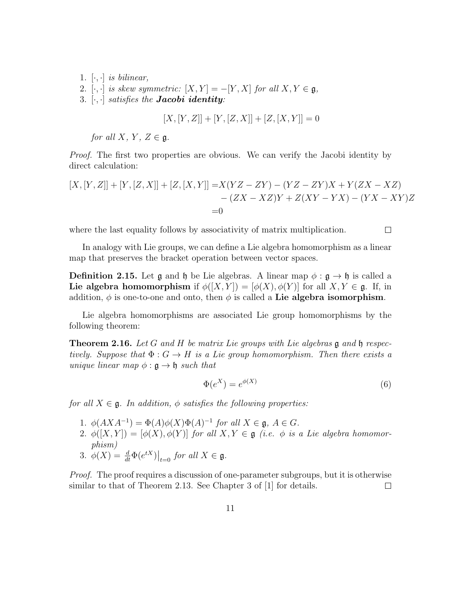- 1.  $[\cdot, \cdot]$  is bilinear,
- 2. [ $\cdot$ ,  $\cdot$ ] is skew symmetric:  $[X, Y] = -[Y, X]$  for all  $X, Y \in \mathfrak{g}$ ,
- 3.  $[\cdot, \cdot]$  satisfies the **Jacobi identity**:

$$
[X,[Y,Z]] + [Y,[Z,X]] + [Z,[X,Y]] = 0
$$

for all X, Y,  $Z \in \mathfrak{a}$ .

Proof. The first two properties are obvious. We can verify the Jacobi identity by direct calculation:

$$
[X,[Y,Z]] + [Y,[Z,X]] + [Z,[X,Y]] = X(YZ - ZY) - (YZ - ZY)X + Y(ZX - XZ) - (ZX - XZ)Y + Z(XY - YX) - (YX - XY)Z = 0
$$

where the last equality follows by associativity of matrix multiplication.

 $\Box$ 

In analogy with Lie groups, we can define a Lie algebra homomorphism as a linear map that preserves the bracket operation between vector spaces.

**Definition 2.15.** Let  $\mathfrak{g}$  and  $\mathfrak{h}$  be Lie algebras. A linear map  $\phi : \mathfrak{g} \to \mathfrak{h}$  is called a Lie algebra homomorphism if  $\phi([X, Y]) = [\phi(X), \phi(Y)]$  for all  $X, Y \in \mathfrak{g}$ . If, in addition,  $\phi$  is one-to-one and onto, then  $\phi$  is called a Lie algebra isomorphism.

Lie algebra homomorphisms are associated Lie group homomorphisms by the following theorem:

**Theorem 2.16.** Let G and H be matrix Lie groups with Lie algebras  $\mathfrak g$  and  $\mathfrak h$  respectively. Suppose that  $\Phi: G \to H$  is a Lie group homomorphism. Then there exists a unique linear map  $\phi : \mathfrak{g} \to \mathfrak{h}$  such that

$$
\Phi(e^X) = e^{\phi(X)}\tag{6}
$$

for all  $X \in \mathfrak{g}$ . In addition,  $\phi$  satisfies the following properties:

- 1.  $\phi(AXA^{-1}) = \Phi(A)\phi(X)\Phi(A)^{-1}$  for all  $X \in \mathfrak{g}$ ,  $A \in G$ .
- 2.  $\phi([X,Y]) = [\phi(X), \phi(Y)]$  for all  $X, Y \in \mathfrak{g}$  (i.e.  $\phi$  is a Lie algebra homomorphism)
- 3.  $\phi(X) = \frac{d}{dt} \Phi(e^{tX})\big|_{t=0}$  for all  $X \in \mathfrak{g}$ .

Proof. The proof requires a discussion of one-parameter subgroups, but it is otherwise similar to that of Theorem 2.13. See Chapter 3 of [1] for details.  $\Box$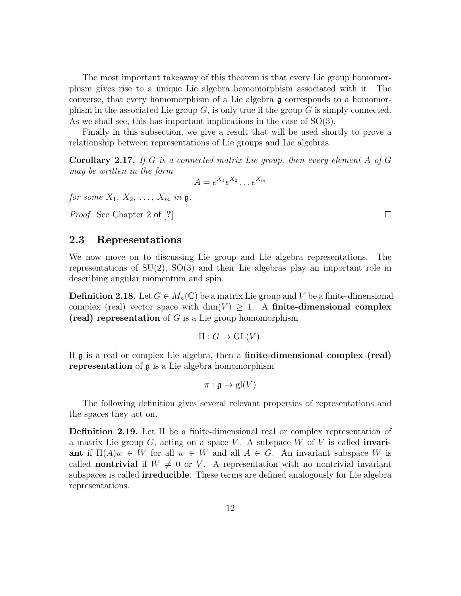The most important takeaway of this theorem is that every Lie group homomorphism gives rise to a unique Lie algebra homomorphism associated with it. The converse, that every homomorphism of a Lie algebra g corresponds to a homomorphism in the associated Lie group  $G$ , is only true if the group  $G$  is simply connected. As we shall see, this has important implications in the case of SO(3).

Finally in this subsection, we give a result that will be used shortly to prove a relationship between representations of Lie groups and Lie algebras.

**Corollary 2.17.** If G is a connected matrix Lie group, then every element A of G may be written in the form

$$
A = e^{X_1}e^{X_2}\dots e^{X_m}
$$

for some  $X_1, X_2, \ldots, X_m$  in  $\mathfrak{g}$ .

Proof. See Chapter 2 of [?]

### 2.3 Representations

We now move on to discussing Lie group and Lie algebra representations. The representations of  $SU(2)$ ,  $SO(3)$  and their Lie algebras play an important role in describing angular momentum and spin.

**Definition 2.18.** Let  $G \in M_n(\mathbb{C})$  be a matrix Lie group and V be a finite-dimensional complex (real) vector space with  $\dim(V) \geq 1$ . A finite-dimensional complex (real) representation of  $G$  is a Lie group homomorphism

$$
\Pi: G \to \mathrm{GL}(V).
$$

If g is a real or complex Lie algebra, then a finite-dimensional complex (real) representation of g is a Lie algebra homomorphism

$$
\pi: \mathfrak{g} \to \mathrm{gl}(V)
$$

The following definition gives several relevant properties of representations and the spaces they act on.

Definition 2.19. Let Π be a finite-dimensional real or complex representation of a matrix Lie group  $G$ , acting on a space V. A subspace W of V is called **invari**ant if  $\Pi(A)w \in W$  for all  $w \in W$  and all  $A \in G$ . An invariant subspace W is called **nontrivial** if  $W \neq 0$  or V. A representation with no nontrivial invariant subspaces is called **irreducible**. These terms are defined analogously for Lie algebra representations.

 $\Box$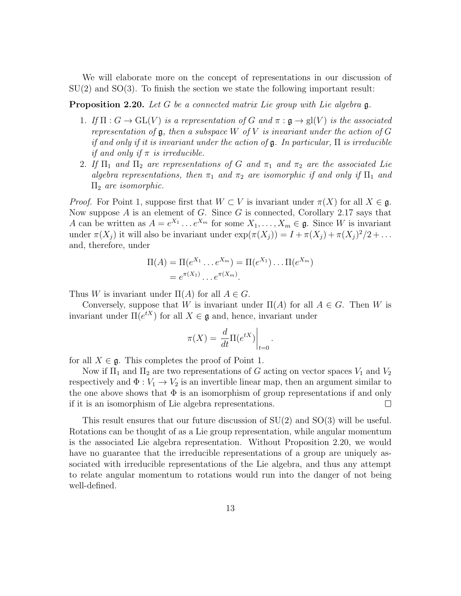We will elaborate more on the concept of representations in our discussion of  $SU(2)$  and  $SO(3)$ . To finish the section we state the following important result:

**Proposition 2.20.** Let G be a connected matrix Lie group with Lie algebra  $\mathfrak{g}$ .

- 1. If  $\Pi: G \to GL(V)$  is a representation of G and  $\pi: \mathfrak{g} \to gl(V)$  is the associated representation of  $\mathfrak g$ , then a subspace W of V is invariant under the action of G if and only if it is invariant under the action of  $\mathfrak{g}$ . In particular,  $\Pi$  is irreducible if and only if  $\pi$  is irreducible.
- 2. If  $\Pi_1$  and  $\Pi_2$  are representations of G and  $\pi_1$  and  $\pi_2$  are the associated Lie algebra representations, then  $\pi_1$  and  $\pi_2$  are isomorphic if and only if  $\Pi_1$  and  $\Pi_2$  are isomorphic.

*Proof.* For Point 1, suppose first that  $W \subset V$  is invariant under  $\pi(X)$  for all  $X \in \mathfrak{g}$ . Now suppose A is an element of G. Since G is connected, Corollary 2.17 says that A can be written as  $A = e^{X_1} \dots e^{X_m}$  for some  $X_1, \dots, X_m \in \mathfrak{g}$ . Since W is invariant under  $\pi(X_j)$  it will also be invariant under  $\exp(\pi(X_j)) = I + \pi(X_j) + \pi(X_j)^2/2 + \dots$ and, therefore, under

$$
\Pi(A) = \Pi(e^{X_1} \dots e^{X_m}) = \Pi(e^{X_1}) \dots \Pi(e^{X_m})
$$
  
=  $e^{\pi(X_1)} \dots e^{\pi(X_m)}$ .

Thus W is invariant under  $\Pi(A)$  for all  $A \in G$ .

Conversely, suppose that W is invariant under  $\Pi(A)$  for all  $A \in G$ . Then W is invariant under  $\Pi(e^{tX})$  for all  $X \in \mathfrak{g}$  and, hence, invariant under

$$
\pi(X) = \frac{d}{dt} \Pi(e^{tX}) \Big|_{t=0}.
$$

for all  $X \in \mathfrak{g}$ . This completes the proof of Point 1.

Now if  $\Pi_1$  and  $\Pi_2$  are two representations of G acting on vector spaces  $V_1$  and  $V_2$ respectively and  $\Phi: V_1 \to V_2$  is an invertible linear map, then an argument similar to the one above shows that  $\Phi$  is an isomorphism of group representations if and only if it is an isomorphism of Lie algebra representations.  $\Box$ 

This result ensures that our future discussion of SU(2) and SO(3) will be useful. Rotations can be thought of as a Lie group representation, while angular momentum is the associated Lie algebra representation. Without Proposition 2.20, we would have no guarantee that the irreducible representations of a group are uniquely associated with irreducible representations of the Lie algebra, and thus any attempt to relate angular momentum to rotations would run into the danger of not being well-defined.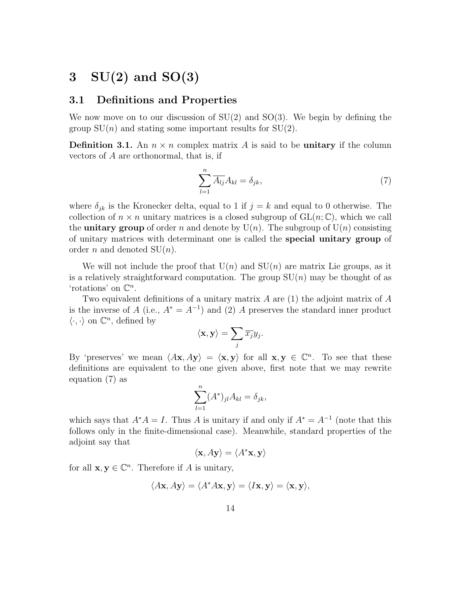# $3 \quad SU(2)$  and  $SO(3)$

### 3.1 Definitions and Properties

We now move on to our discussion of  $SU(2)$  and  $SO(3)$ . We begin by defining the group  $SU(n)$  and stating some important results for  $SU(2)$ .

**Definition 3.1.** An  $n \times n$  complex matrix A is said to be **unitary** if the column vectors of A are orthonormal, that is, if

$$
\sum_{l=1}^{n} \overline{A_{lj}} A_{kl} = \delta_{jk},\tag{7}
$$

where  $\delta_{jk}$  is the Kronecker delta, equal to 1 if  $j = k$  and equal to 0 otherwise. The collection of  $n \times n$  unitary matrices is a closed subgroup of  $GL(n;\mathbb{C})$ , which we call the **unitary group** of order n and denote by  $U(n)$ . The subgroup of  $U(n)$  consisting of unitary matrices with determinant one is called the special unitary group of order *n* and denoted  $SU(n)$ .

We will not include the proof that  $U(n)$  and  $SU(n)$  are matrix Lie groups, as it is a relatively straightforward computation. The group  $SU(n)$  may be thought of as 'rotations' on  $\mathbb{C}^n$ .

Two equivalent definitions of a unitary matrix  $A$  are (1) the adjoint matrix of  $A$ is the inverse of A (i.e.,  $A^* = A^{-1}$ ) and (2) A preserves the standard inner product  $\langle \cdot, \cdot \rangle$  on  $\mathbb{C}^n$ , defined by

$$
\langle \mathbf{x}, \mathbf{y} \rangle = \sum_j \overline{x_j} y_j.
$$

By 'preserves' we mean  $\langle Ax, Ay \rangle = \langle x, y \rangle$  for all  $x, y \in \mathbb{C}^n$ . To see that these definitions are equivalent to the one given above, first note that we may rewrite equation (7) as

$$
\sum_{l=1}^{n} (A^*)_{jl} A_{kl} = \delta_{jk},
$$

which says that  $A^*A = I$ . Thus A is unitary if and only if  $A^* = A^{-1}$  (note that this follows only in the finite-dimensional case). Meanwhile, standard properties of the adjoint say that

$$
\langle \mathbf{x}, A\mathbf{y} \rangle = \langle A^* \mathbf{x}, \mathbf{y} \rangle
$$

for all  $\mathbf{x}, \mathbf{y} \in \mathbb{C}^n$ . Therefore if A is unitary,

$$
\langle A\mathbf{x}, A\mathbf{y} \rangle = \langle A^* A\mathbf{x}, \mathbf{y} \rangle = \langle I\mathbf{x}, \mathbf{y} \rangle = \langle \mathbf{x}, \mathbf{y} \rangle,
$$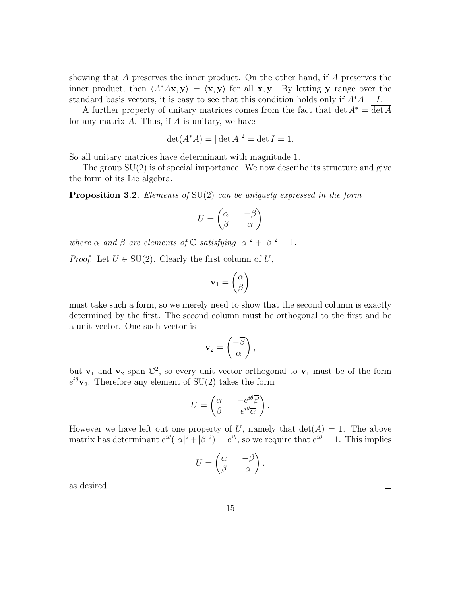showing that A preserves the inner product. On the other hand, if A preserves the inner product, then  $\langle A^*A\mathbf{x}, \mathbf{y} \rangle = \langle \mathbf{x}, \mathbf{y} \rangle$  for all x, y. By letting y range over the standard basis vectors, it is easy to see that this condition holds only if  $A^*A = I$ .

A further property of unitary matrices comes from the fact that det  $A^* = \overline{\det A}$ for any matrix  $A$ . Thus, if  $A$  is unitary, we have

$$
\det(A^*A) = |\det A|^2 = \det I = 1.
$$

So all unitary matrices have determinant with magnitude 1.

The group  $SU(2)$  is of special importance. We now describe its structure and give the form of its Lie algebra.

**Proposition 3.2.** Elements of  $SU(2)$  can be uniquely expressed in the form

$$
U = \begin{pmatrix} \alpha & -\overline{\beta} \\ \beta & \overline{\alpha} \end{pmatrix}
$$

where  $\alpha$  and  $\beta$  are elements of  $\mathbb C$  satisfying  $|\alpha|^2 + |\beta|^2 = 1$ .

*Proof.* Let  $U \in SU(2)$ . Clearly the first column of U,

$$
\mathbf{v}_1 = \begin{pmatrix} \alpha \\ \beta \end{pmatrix}
$$

must take such a form, so we merely need to show that the second column is exactly determined by the first. The second column must be orthogonal to the first and be a unit vector. One such vector is

$$
\mathbf{v}_2 = \left(\frac{-\overline{\beta}}{\overline{\alpha}}\right),\,
$$

but  $\mathbf{v}_1$  and  $\mathbf{v}_2$  span  $\mathbb{C}^2$ , so every unit vector orthogonal to  $\mathbf{v}_1$  must be of the form  $e^{i\theta}$ **v**<sub>2</sub>. Therefore any element of SU(2) takes the form

$$
U = \begin{pmatrix} \alpha & -e^{i\theta} \overline{\beta} \\ \beta & e^{i\theta} \overline{\alpha} \end{pmatrix}.
$$

However we have left out one property of U, namely that  $\det(A) = 1$ . The above matrix has determinant  $e^{i\theta}(|\alpha|^2 + |\beta|^2) = e^{i\theta}$ , so we require that  $e^{i\theta} = 1$ . This implies

$$
U = \begin{pmatrix} \alpha & -\overline{\beta} \\ \beta & \overline{\alpha} \end{pmatrix}
$$

.

as desired.

 $\Box$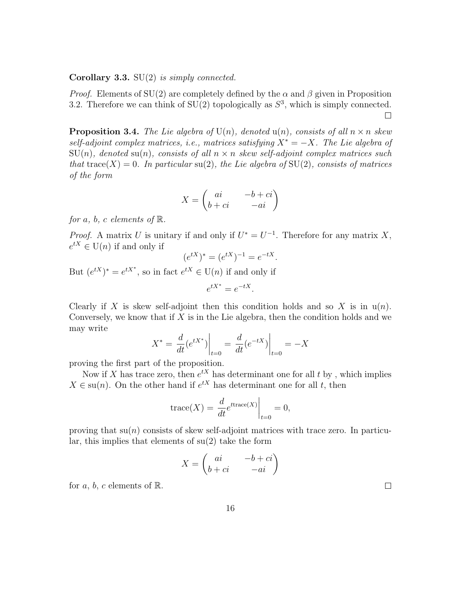#### **Corollary 3.3.** SU $(2)$  is simply connected.

*Proof.* Elements of SU(2) are completely defined by the  $\alpha$  and  $\beta$  given in Proposition 3.2. Therefore we can think of  $SU(2)$  topologically as  $S^3$ , which is simply connected.  $\Box$ 

**Proposition 3.4.** The Lie algebra of  $U(n)$ , denoted  $u(n)$ , consists of all  $n \times n$  skew self-adjoint complex matrices, i.e., matrices satisfying  $X^* = -X$ . The Lie algebra of  $SU(n)$ , denoted su(n), consists of all  $n \times n$  skew self-adjoint complex matrices such that trace(X) = 0. In particular su(2), the Lie algebra of SU(2), consists of matrices of the form

$$
X = \begin{pmatrix} ai & -b + ci \\ b + ci & -ai \end{pmatrix}
$$

for a, b, c elements of  $\mathbb{R}$ .

*Proof.* A matrix U is unitary if and only if  $U^* = U^{-1}$ . Therefore for any matrix X,  $e^{tX} \in U(n)$  if and only if

$$
(e^{tX})^* = (e^{tX})^{-1} = e^{-tX}.
$$

But  $(e^{tX})^* = e^{tX^*}$ , so in fact  $e^{tX} \in U(n)$  if and only if

$$
e^{tX^*} = e^{-tX}.
$$

Clearly if X is skew self-adjoint then this condition holds and so X is in  $u(n)$ . Conversely, we know that if  $X$  is in the Lie algebra, then the condition holds and we may write

$$
X^* = \frac{d}{dt} (e^{tX^*}) \Big|_{t=0} = \frac{d}{dt} (e^{-tX}) \Big|_{t=0} = -X
$$

proving the first part of the proposition.

Now if X has trace zero, then  $e^{tX}$  has determinant one for all t by, which implies  $X \in \text{su}(n)$ . On the other hand if  $e^{tX}$  has determinant one for all t, then

$$
\operatorname{trace}(X) = \left. \frac{d}{dt} e^{t \operatorname{trace}(X)} \right|_{t=0} = 0,
$$

proving that  $\text{su}(n)$  consists of skew self-adjoint matrices with trace zero. In particular, this implies that elements of  $su(2)$  take the form

$$
X = \begin{pmatrix} ai & -b + ci \\ b + ci & -ai \end{pmatrix}
$$

for a, b, c elements of  $\mathbb{R}$ .

 $\Box$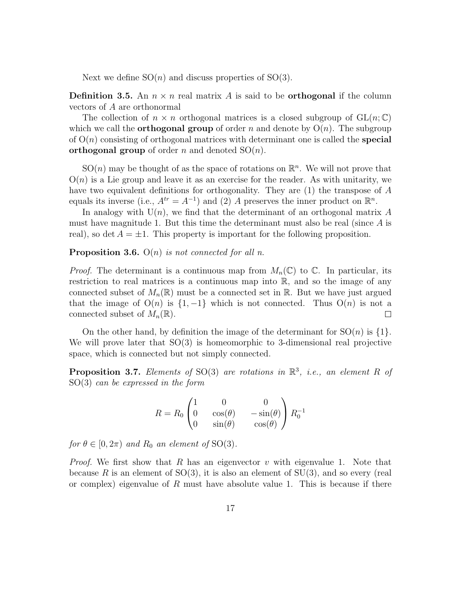Next we define  $SO(n)$  and discuss properties of  $SO(3)$ .

**Definition 3.5.** An  $n \times n$  real matrix A is said to be **orthogonal** if the column vectors of A are orthonormal

The collection of  $n \times n$  orthogonal matrices is a closed subgroup of  $GL(n;\mathbb{C})$ which we call the **orthogonal group** of order n and denote by  $O(n)$ . The subgroup of  $O(n)$  consisting of orthogonal matrices with determinant one is called the **special** orthogonal group of order n and denoted  $SO(n)$ .

 $SO(n)$  may be thought of as the space of rotations on  $\mathbb{R}^n$ . We will not prove that  $O(n)$  is a Lie group and leave it as an exercise for the reader. As with unitarity, we have two equivalent definitions for orthogonality. They are (1) the transpose of A equals its inverse (i.e.,  $A^{tr} = A^{-1}$ ) and (2) A preserves the inner product on  $\mathbb{R}^n$ .

In analogy with  $U(n)$ , we find that the determinant of an orthogonal matrix A must have magnitude 1. But this time the determinant must also be real (since  $A$  is real), so det  $A = \pm 1$ . This property is important for the following proposition.

**Proposition 3.6.**  $O(n)$  is not connected for all n.

*Proof.* The determinant is a continuous map from  $M_n(\mathbb{C})$  to  $\mathbb{C}$ . In particular, its restriction to real matrices is a continuous map into  $\mathbb{R}$ , and so the image of any connected subset of  $M_n(\mathbb{R})$  must be a connected set in  $\mathbb{R}$ . But we have just argued that the image of  $O(n)$  is  $\{1, -1\}$  which is not connected. Thus  $O(n)$  is not a connected subset of  $M_n(\mathbb{R})$ .  $\Box$ 

On the other hand, by definition the image of the determinant for  $SO(n)$  is  $\{1\}$ . We will prove later that SO(3) is homeomorphic to 3-dimensional real projective space, which is connected but not simply connected.

**Proposition 3.7.** Elements of SO(3) are rotations in  $\mathbb{R}^3$ , i.e., an element R of SO(3) can be expressed in the form

$$
R = R_0 \begin{pmatrix} 1 & 0 & 0 \\ 0 & \cos(\theta) & -\sin(\theta) \\ 0 & \sin(\theta) & \cos(\theta) \end{pmatrix} R_0^{-1}
$$

for  $\theta \in [0, 2\pi)$  and  $R_0$  an element of SO(3).

*Proof.* We first show that R has an eigenvector v with eigenvalue 1. Note that because R is an element of  $SO(3)$ , it is also an element of  $SU(3)$ , and so every (real or complex) eigenvalue of  $R$  must have absolute value 1. This is because if there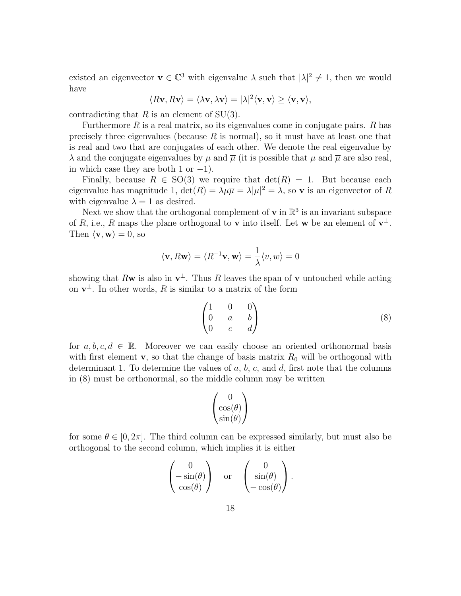existed an eigenvector  $\mathbf{v} \in \mathbb{C}^3$  with eigenvalue  $\lambda$  such that  $|\lambda|^2 \neq 1$ , then we would have

$$
\langle R\mathbf{v}, R\mathbf{v} \rangle = \langle \lambda \mathbf{v}, \lambda \mathbf{v} \rangle = |\lambda|^2 \langle \mathbf{v}, \mathbf{v} \rangle \ge \langle \mathbf{v}, \mathbf{v} \rangle,
$$

contradicting that R is an element of  $SU(3)$ .

Furthermore  $R$  is a real matrix, so its eigenvalues come in conjugate pairs.  $R$  has precisely three eigenvalues (because  $R$  is normal), so it must have at least one that is real and two that are conjugates of each other. We denote the real eigenvalue by  $\lambda$  and the conjugate eigenvalues by  $\mu$  and  $\bar{\mu}$  (it is possible that  $\mu$  and  $\bar{\mu}$  are also real, in which case they are both 1 or  $-1$ ).

Finally, because  $R \in SO(3)$  we require that  $\det(R) = 1$ . But because each eigenvalue has magnitude 1,  $\det(R) = \lambda \mu \overline{\mu} = \lambda |\mu|^2 = \lambda$ , so **v** is an eigenvector of R with eigenvalue  $\lambda = 1$  as desired.

Next we show that the orthogonal complement of **v** in  $\mathbb{R}^3$  is an invariant subspace of R, i.e., R maps the plane orthogonal to v into itself. Let w be an element of  $v^{\perp}$ . Then  $\langle v, w \rangle = 0$ , so

$$
\langle \mathbf{v}, R\mathbf{w} \rangle = \langle R^{-1}\mathbf{v}, \mathbf{w} \rangle = \frac{1}{\lambda} \langle v, w \rangle = 0
$$

showing that Rw is also in  $\mathbf{v}^{\perp}$ . Thus R leaves the span of v untouched while acting on  $\mathbf{v}^{\perp}$ . In other words, R is similar to a matrix of the form

$$
\begin{pmatrix}\n1 & 0 & 0 \\
0 & a & b \\
0 & c & d\n\end{pmatrix}
$$
\n(8)

for  $a, b, c, d \in \mathbb{R}$ . Moreover we can easily choose an oriented orthonormal basis with first element  $\mathbf{v}$ , so that the change of basis matrix  $R_0$  will be orthogonal with determinant 1. To determine the values of  $a, b, c$ , and  $d$ , first note that the columns in (8) must be orthonormal, so the middle column may be written

$$
\begin{pmatrix} 0 \\ \cos(\theta) \\ \sin(\theta) \end{pmatrix}
$$

for some  $\theta \in [0, 2\pi]$ . The third column can be expressed similarly, but must also be orthogonal to the second column, which implies it is either

$$
\begin{pmatrix} 0 \\ -\sin(\theta) \\ \cos(\theta) \end{pmatrix} \text{ or } \begin{pmatrix} 0 \\ \sin(\theta) \\ -\cos(\theta) \end{pmatrix}.
$$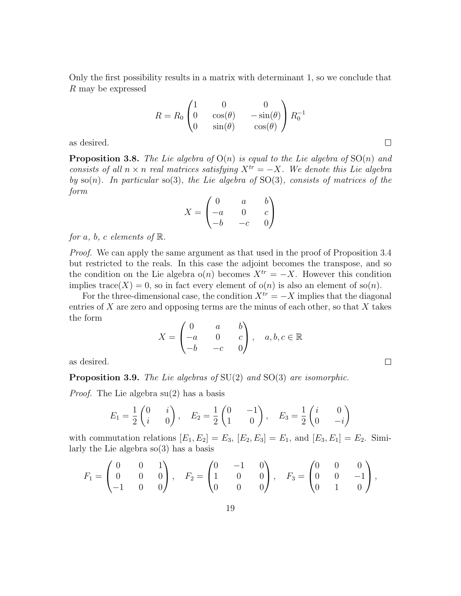Only the first possibility results in a matrix with determinant 1, so we conclude that R may be expressed

$$
R = R_0 \begin{pmatrix} 1 & 0 & 0 \\ 0 & \cos(\theta) & -\sin(\theta) \\ 0 & \sin(\theta) & \cos(\theta) \end{pmatrix} R_0^{-1}
$$

 $\Box$ 

 $\Box$ 

as desired.

**Proposition 3.8.** The Lie algebra of  $O(n)$  is equal to the Lie algebra of  $SO(n)$  and consists of all  $n \times n$  real matrices satisfying  $X^{tr} = -X$ . We denote this Lie algebra by  $\text{so}(n)$ . In particular  $\text{so}(3)$ , the Lie algebra of  $\text{SO}(3)$ , consists of matrices of the form

$$
X = \begin{pmatrix} 0 & a & b \\ -a & 0 & c \\ -b & -c & 0 \end{pmatrix}
$$

for a, b, c elements of  $\mathbb{R}$ .

Proof. We can apply the same argument as that used in the proof of Proposition 3.4 but restricted to the reals. In this case the adjoint becomes the transpose, and so the condition on the Lie algebra  $o(n)$  becomes  $X^{tr} = -X$ . However this condition implies trace(X) = 0, so in fact every element of  $o(n)$  is also an element of  $so(n)$ .

For the three-dimensional case, the condition  $X^{tr} = -X$  implies that the diagonal entries of  $X$  are zero and opposing terms are the minus of each other, so that  $X$  takes the form

$$
X = \begin{pmatrix} 0 & a & b \\ -a & 0 & c \\ -b & -c & 0 \end{pmatrix}, \quad a, b, c \in \mathbb{R}
$$

as desired.

**Proposition 3.9.** The Lie algebras of  $SU(2)$  and  $SO(3)$  are isomorphic.

Proof. The Lie algebra su(2) has a basis

$$
E_1 = \frac{1}{2} \begin{pmatrix} 0 & i \\ i & 0 \end{pmatrix}, \quad E_2 = \frac{1}{2} \begin{pmatrix} 0 & -1 \\ 1 & 0 \end{pmatrix}, \quad E_3 = \frac{1}{2} \begin{pmatrix} i & 0 \\ 0 & -i \end{pmatrix}
$$

with commutation relations  $[E_1, E_2] = E_3$ ,  $[E_2, E_3] = E_1$ , and  $[E_3, E_1] = E_2$ . Similarly the Lie algebra  $\mathfrak{so}(3)$  has a basis

$$
F_1 = \begin{pmatrix} 0 & 0 & 1 \\ 0 & 0 & 0 \\ -1 & 0 & 0 \end{pmatrix}, \quad F_2 = \begin{pmatrix} 0 & -1 & 0 \\ 1 & 0 & 0 \\ 0 & 0 & 0 \end{pmatrix}, \quad F_3 = \begin{pmatrix} 0 & 0 & 0 \\ 0 & 0 & -1 \\ 0 & 1 & 0 \end{pmatrix},
$$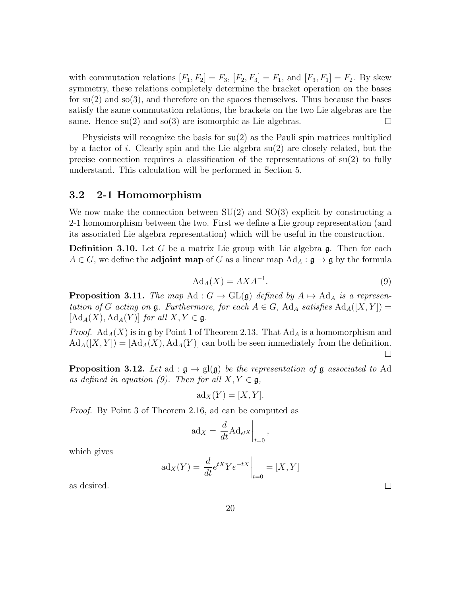with commutation relations  $[F_1, F_2] = F_3$ ,  $[F_2, F_3] = F_1$ , and  $[F_3, F_1] = F_2$ . By skew symmetry, these relations completely determine the bracket operation on the bases for su(2) and so(3), and therefore on the spaces themselves. Thus because the bases satisfy the same commutation relations, the brackets on the two Lie algebras are the same. Hence  $su(2)$  and  $so(3)$  are isomorphic as Lie algebras. □

Physicists will recognize the basis for  $su(2)$  as the Pauli spin matrices multiplied by a factor of i. Clearly spin and the Lie algebra  $su(2)$  are closely related, but the precise connection requires a classification of the representations of  $su(2)$  to fully understand. This calculation will be performed in Section 5.

### 3.2 2-1 Homomorphism

We now make the connection between  $SU(2)$  and  $SO(3)$  explicit by constructing a 2-1 homomorphism between the two. First we define a Lie group representation (and its associated Lie algebra representation) which will be useful in the construction.

**Definition 3.10.** Let  $G$  be a matrix Lie group with Lie algebra  $\mathfrak{g}$ . Then for each  $A \in G$ , we define the **adjoint map** of G as a linear map  $\text{Ad}_A : \mathfrak{g} \to \mathfrak{g}$  by the formula

$$
Ad_A(X) = AXA^{-1}.
$$
\n(9)

**Proposition 3.11.** The map Ad :  $G \to GL(\mathfrak{g})$  defined by  $A \mapsto Ad_A$  is a representation of G acting on  $\mathfrak g$ . Furthermore, for each  $A \in G$ ,  $\operatorname{Ad}_A$  satisfies  $\operatorname{Ad}_A([X, Y]) =$  $[\text{Ad}_A(X), \text{Ad}_A(Y)]$  for all  $X, Y \in \mathfrak{g}$ .

*Proof.*  $\text{Ad}_A(X)$  is in g by Point 1 of Theorem 2.13. That  $\text{Ad}_A$  is a homomorphism and  $\text{Ad}_A([X, Y]) = [\text{Ad}_A(X), \text{Ad}_A(Y)]$  can both be seen immediately from the definition.  $\Box$ 

**Proposition 3.12.** Let ad :  $\mathfrak{g} \to \text{gl}(\mathfrak{g})$  be the representation of  $\mathfrak{g}$  associated to Ad as defined in equation (9). Then for all  $X, Y \in \mathfrak{g}$ ,

$$
ad_X(Y) = [X, Y].
$$

Proof. By Point 3 of Theorem 2.16, ad can be computed as

$$
ad_X = \frac{d}{dt} Ad_{e^{tX}}\bigg|_{t=0},
$$

which gives

$$
ad_X(Y) = \frac{d}{dt}e^{tX}Ye^{-tX}\Big|_{t=0} = [X, Y]
$$

as desired.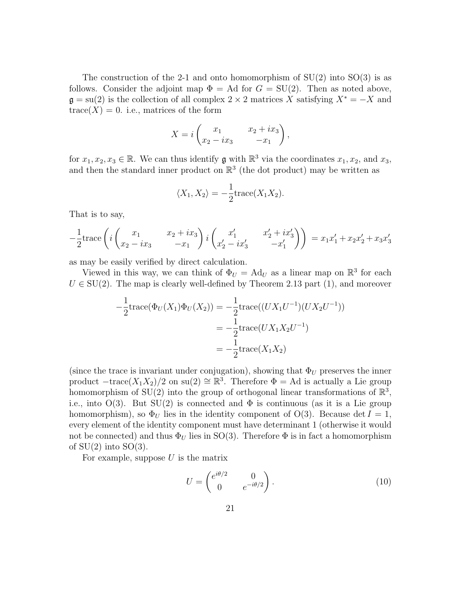The construction of the 2-1 and onto homomorphism of  $SU(2)$  into  $SO(3)$  is as follows. Consider the adjoint map  $\Phi = \text{Ad}$  for  $G = SU(2)$ . Then as noted above,  $\mathfrak{g} = \text{su}(2)$  is the collection of all complex 2 × 2 matrices X satisfying  $X^* = -X$  and  $trace(X) = 0$ . i.e., matrices of the form

$$
X = i \begin{pmatrix} x_1 & x_2 + ix_3 \ x_2 - ix_3 & -x_1 \end{pmatrix},
$$

for  $x_1, x_2, x_3 \in \mathbb{R}$ . We can thus identify **g** with  $\mathbb{R}^3$  via the coordinates  $x_1, x_2$ , and  $x_3$ , and then the standard inner product on  $\mathbb{R}^3$  (the dot product) may be written as

$$
\langle X_1, X_2 \rangle = -\frac{1}{2} \text{trace}(X_1 X_2).
$$

That is to say,

$$
-\frac{1}{2}\mathrm{trace}\left(i\begin{pmatrix}x_1 & x_2+ix_3\\ x_2-ix_3 & -x_1\end{pmatrix}i\begin{pmatrix}x'_1 & x'_2+ix'_3\\ x'_2-ix'_3 & -x'_1\end{pmatrix}\right)=x_1x'_1+x_2x'_2+x_3x'_3
$$

as may be easily verified by direct calculation.

Viewed in this way, we can think of  $\Phi_U = \text{Ad}_U$  as a linear map on  $\mathbb{R}^3$  for each  $U \in SU(2)$ . The map is clearly well-defined by Theorem 2.13 part (1), and moreover

$$
-\frac{1}{2}\text{trace}(\Phi_U(X_1)\Phi_U(X_2)) = -\frac{1}{2}\text{trace}((UX_1U^{-1})(UX_2U^{-1}))
$$
  
=  $-\frac{1}{2}\text{trace}(UX_1X_2U^{-1})$   
=  $-\frac{1}{2}\text{trace}(X_1X_2)$ 

(since the trace is invariant under conjugation), showing that  $\Phi_U$  preserves the inner product  $-\text{trace}(X_1X_2)/2$  on su(2)  $\cong \mathbb{R}^3$ . Therefore  $\Phi = \text{Ad}$  is actually a Lie group homomorphism of SU(2) into the group of orthogonal linear transformations of  $\mathbb{R}^3$ , i.e., into  $O(3)$ . But  $SU(2)$  is connected and  $\Phi$  is continuous (as it is a Lie group homomorphism), so  $\Phi_U$  lies in the identity component of O(3). Because det  $I = 1$ , every element of the identity component must have determinant 1 (otherwise it would not be connected) and thus  $\Phi_U$  lies in SO(3). Therefore  $\Phi$  is in fact a homomorphism of  $SU(2)$  into  $SO(3)$ .

For example, suppose  $U$  is the matrix

$$
U = \begin{pmatrix} e^{i\theta/2} & 0\\ 0 & e^{-i\theta/2} \end{pmatrix}.
$$
 (10)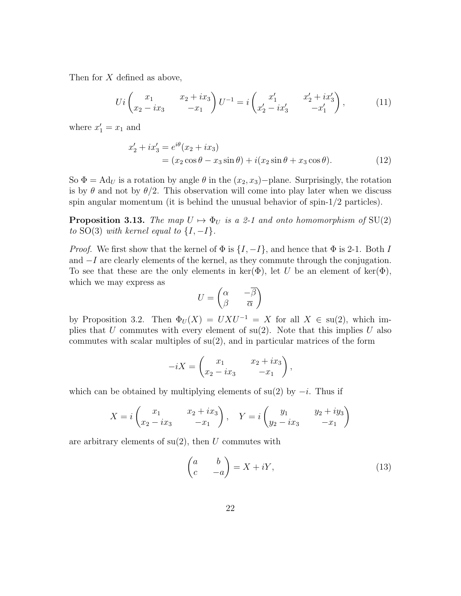Then for X defined as above,

$$
Ui \begin{pmatrix} x_1 & x_2 + ix_3 \ x_2 - ix_3 & -x_1 \end{pmatrix} U^{-1} = i \begin{pmatrix} x'_1 & x'_2 + ix'_3 \ x'_2 - ix'_3 & -x'_1 \end{pmatrix},
$$
(11)

where  $x'_1 = x_1$  and

$$
x'_2 + ix'_3 = e^{i\theta}(x_2 + ix_3)
$$
  
=  $(x_2 \cos \theta - x_3 \sin \theta) + i(x_2 \sin \theta + x_3 \cos \theta).$  (12)

So  $\Phi = \text{Ad}_U$  is a rotation by angle  $\theta$  in the  $(x_2, x_3)$  –plane. Surprisingly, the rotation is by  $\theta$  and not by  $\theta/2$ . This observation will come into play later when we discuss spin angular momentum (it is behind the unusual behavior of spin-1/2 particles).

**Proposition 3.13.** The map  $U \mapsto \Phi_U$  is a 2-1 and onto homomorphism of SU(2) to SO(3) with kernel equal to  $\{I, -I\}$ .

*Proof.* We first show that the kernel of  $\Phi$  is  $\{I, -I\}$ , and hence that  $\Phi$  is 2-1. Both I and −I are clearly elements of the kernel, as they commute through the conjugation. To see that these are the only elements in ker( $\Phi$ ), let U be an element of ker( $\Phi$ ), which we may express as

$$
U = \begin{pmatrix} \alpha & -\overline{\beta} \\ \beta & \overline{\alpha} \end{pmatrix}
$$

by Proposition 3.2. Then  $\Phi_U(X) = UXU^{-1} = X$  for all  $X \in su(2)$ , which implies that U commutes with every element of  $su(2)$ . Note that this implies U also commutes with scalar multiples of  $su(2)$ , and in particular matrices of the form

$$
-iX = \begin{pmatrix} x_1 & x_2 + ix_3 \\ x_2 - ix_3 & -x_1 \end{pmatrix},
$$

which can be obtained by multiplying elements of su(2) by  $-i$ . Thus if

$$
X = i \begin{pmatrix} x_1 & x_2 + ix_3 \\ x_2 - ix_3 & -x_1 \end{pmatrix}, \quad Y = i \begin{pmatrix} y_1 & y_2 + iy_3 \\ y_2 - ix_3 & -x_1 \end{pmatrix}
$$

are arbitrary elements of  $su(2)$ , then U commutes with

$$
\begin{pmatrix} a & b \\ c & -a \end{pmatrix} = X + iY,\tag{13}
$$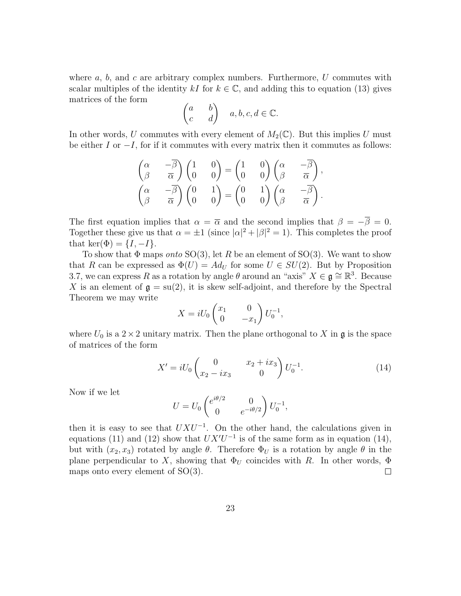where  $a, b$ , and  $c$  are arbitrary complex numbers. Furthermore,  $U$  commutes with scalar multiples of the identity kI for  $k \in \mathbb{C}$ , and adding this to equation (13) gives matrices of the form

$$
\begin{pmatrix} a & b \\ c & d \end{pmatrix} \quad a, b, c, d \in \mathbb{C}.
$$

In other words, U commutes with every element of  $M_2(\mathbb{C})$ . But this implies U must be either I or  $-I$ , for if it commutes with every matrix then it commutes as follows:

$$
\begin{pmatrix}\n\alpha & -\overline{\beta} \\
\beta & \overline{\alpha}\n\end{pmatrix}\n\begin{pmatrix}\n1 & 0 \\
0 & 0\n\end{pmatrix} =\n\begin{pmatrix}\n1 & 0 \\
0 & 0\n\end{pmatrix}\n\begin{pmatrix}\n\alpha & -\overline{\beta} \\
\beta & \overline{\alpha}\n\end{pmatrix},
$$
\n
$$
\begin{pmatrix}\n\alpha & -\overline{\beta} \\
\beta & \overline{\alpha}\n\end{pmatrix}\n\begin{pmatrix}\n0 & 1 \\
0 & 0\n\end{pmatrix} =\n\begin{pmatrix}\n0 & 1 \\
0 & 0\n\end{pmatrix}\n\begin{pmatrix}\n\alpha & -\overline{\beta} \\
\beta & \overline{\alpha}\n\end{pmatrix}.
$$

The first equation implies that  $\alpha = \overline{\alpha}$  and the second implies that  $\beta = -\overline{\beta} = 0$ . Together these give us that  $\alpha = \pm 1$  (since  $|\alpha|^2 + |\beta|^2 = 1$ ). This completes the proof that ker( $\Phi$ ) = { $I, -I$ }.

To show that  $\Phi$  maps *onto* SO(3), let R be an element of SO(3). We want to show that R can be expressed as  $\Phi(U) = Ad_U$  for some  $U \in SU(2)$ . But by Proposition 3.7, we can express R as a rotation by angle  $\theta$  around an "axis"  $X \in \mathfrak{g} \cong \mathbb{R}^3$ . Because X is an element of  $\mathfrak{g} = \text{su}(2)$ , it is skew self-adjoint, and therefore by the Spectral Theorem we may write

$$
X = iU_0 \begin{pmatrix} x_1 & 0 \\ 0 & -x_1 \end{pmatrix} U_0^{-1},
$$

where  $U_0$  is a  $2 \times 2$  unitary matrix. Then the plane orthogonal to X in g is the space of matrices of the form

$$
X' = iU_0 \begin{pmatrix} 0 & x_2 + ix_3 \ x_2 - ix_3 & 0 \end{pmatrix} U_0^{-1}.
$$
 (14)

Now if we let

$$
U = U_0 \begin{pmatrix} e^{i\theta/2} & 0\\ 0 & e^{-i\theta/2} \end{pmatrix} U_0^{-1},
$$

then it is easy to see that  $UXU^{-1}$ . On the other hand, the calculations given in equations (11) and (12) show that  $UX'U^{-1}$  is of the same form as in equation (14), but with  $(x_2, x_3)$  rotated by angle  $\theta$ . Therefore  $\Phi_U$  is a rotation by angle  $\theta$  in the plane perpendicular to X, showing that  $\Phi_U$  coincides with R. In other words,  $\Phi$ maps onto every element of SO(3).  $\Box$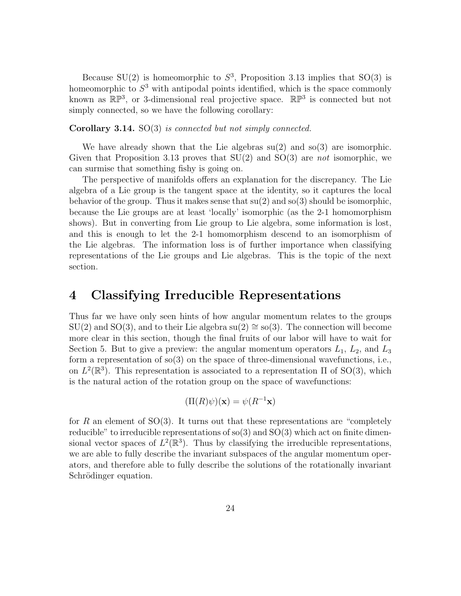Because SU(2) is homeomorphic to  $S^3$ , Proposition 3.13 implies that SO(3) is homeomorphic to  $S<sup>3</sup>$  with antipodal points identified, which is the space commonly known as  $\mathbb{RP}^3$ , or 3-dimensional real projective space.  $\mathbb{RP}^3$  is connected but not simply connected, so we have the following corollary:

Corollary 3.14. SO(3) is connected but not simply connected.

We have already shown that the Lie algebras  $su(2)$  and  $so(3)$  are isomorphic. Given that Proposition 3.13 proves that  $SU(2)$  and  $SO(3)$  are not isomorphic, we can surmise that something fishy is going on.

The perspective of manifolds offers an explanation for the discrepancy. The Lie algebra of a Lie group is the tangent space at the identity, so it captures the local behavior of the group. Thus it makes sense that  $su(2)$  and  $so(3)$  should be isomorphic, because the Lie groups are at least 'locally' isomorphic (as the 2-1 homomorphism shows). But in converting from Lie group to Lie algebra, some information is lost, and this is enough to let the 2-1 homomorphism descend to an isomorphism of the Lie algebras. The information loss is of further importance when classifying representations of the Lie groups and Lie algebras. This is the topic of the next section.

# 4 Classifying Irreducible Representations

Thus far we have only seen hints of how angular momentum relates to the groups  $SU(2)$  and  $SO(3)$ , and to their Lie algebra su(2) ≅ so(3). The connection will become more clear in this section, though the final fruits of our labor will have to wait for Section 5. But to give a preview: the angular momentum operators  $L_1$ ,  $L_2$ , and  $L_3$ form a representation of so(3) on the space of three-dimensional wavefunctions, i.e., on  $L^2(\mathbb{R}^3)$ . This representation is associated to a representation  $\Pi$  of SO(3), which is the natural action of the rotation group on the space of wavefunctions:

$$
(\Pi(R)\psi)(\mathbf{x}) = \psi(R^{-1}\mathbf{x})
$$

for R an element of  $SO(3)$ . It turns out that these representations are "completely reducible" to irreducible representations of  $\rm{so}(3)$  and  $\rm{SO}(3)$  which act on finite dimensional vector spaces of  $L^2(\mathbb{R}^3)$ . Thus by classifying the irreducible representations, we are able to fully describe the invariant subspaces of the angular momentum operators, and therefore able to fully describe the solutions of the rotationally invariant Schrödinger equation.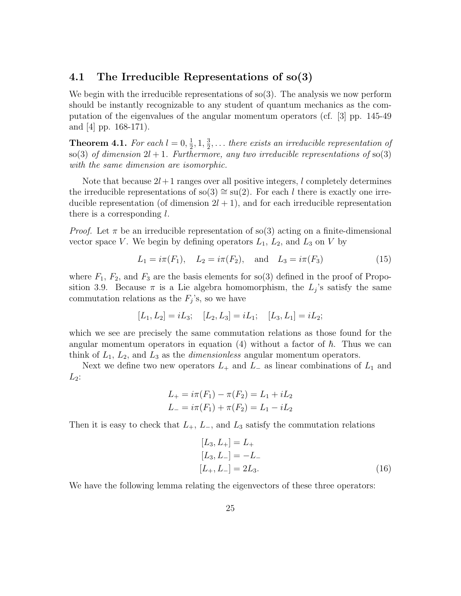### 4.1 The Irreducible Representations of so(3)

We begin with the irreducible representations of  $\mathfrak{so}(3)$ . The analysis we now perform should be instantly recognizable to any student of quantum mechanics as the computation of the eigenvalues of the angular momentum operators (cf. [3] pp. 145-49 and  $|4|$  pp. 168-171).

**Theorem 4.1.** For each  $l = 0, \frac{1}{2}, 1, \frac{3}{2}, \ldots$  there exists an irreducible representation of so(3) of dimension  $2l + 1$ . Furthermore, any two irreducible representations of so(3) with the same dimension are isomorphic.

Note that because  $2l+1$  ranges over all positive integers, l completely determines the irreducible representations of so(3)  $\cong$  su(2). For each l there is exactly one irreducible representation (of dimension  $2l + 1$ ), and for each irreducible representation there is a corresponding  $l$ .

*Proof.* Let  $\pi$  be an irreducible representation of so(3) acting on a finite-dimensional vector space V. We begin by defining operators  $L_1$ ,  $L_2$ , and  $L_3$  on V by

$$
L_1 = i\pi(F_1), \quad L_2 = i\pi(F_2), \quad \text{and} \quad L_3 = i\pi(F_3)
$$
 (15)

where  $F_1, F_2$ , and  $F_3$  are the basis elements for so(3) defined in the proof of Proposition 3.9. Because  $\pi$  is a Lie algebra homomorphism, the  $L_j$ 's satisfy the same commutation relations as the  $F_j$ 's, so we have

$$
[L_1, L_2] = iL_3; \quad [L_2, L_3] = iL_1; \quad [L_3, L_1] = iL_2;
$$

which we see are precisely the same commutation relations as those found for the angular momentum operators in equation (4) without a factor of  $\hbar$ . Thus we can think of  $L_1$ ,  $L_2$ , and  $L_3$  as the *dimensionless* angular momentum operators.

Next we define two new operators  $L_+$  and  $L_-$  as linear combinations of  $L_1$  and  $L_2$ :

$$
L_{+} = i\pi(F_{1}) - \pi(F_{2}) = L_{1} + iL_{2}
$$
  

$$
L_{-} = i\pi(F_{1}) + \pi(F_{2}) = L_{1} - iL_{2}
$$

Then it is easy to check that  $L_+$ ,  $L_-$ , and  $L_3$  satisfy the commutation relations

$$
[L_3, L_+] = L_+
$$
  
\n
$$
[L_3, L_-] = -L_-
$$
  
\n
$$
[L_+, L_-] = 2L_3.
$$
\n(16)

We have the following lemma relating the eigenvectors of these three operators: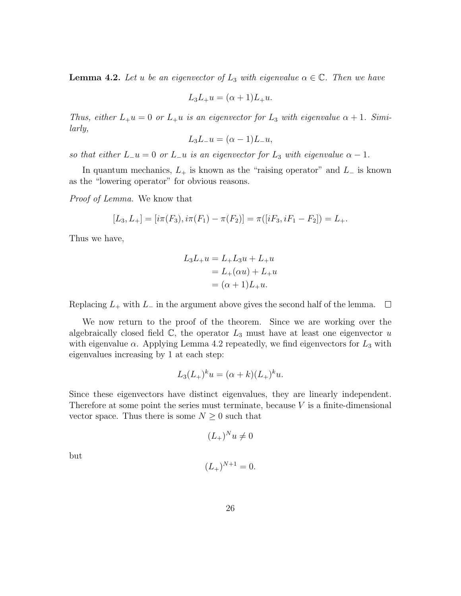**Lemma 4.2.** Let u be an eigenvector of  $L_3$  with eigenvalue  $\alpha \in \mathbb{C}$ . Then we have

$$
L_3L_+u = (\alpha + 1)L_+u.
$$

Thus, either  $L_+u = 0$  or  $L_+u$  is an eigenvector for  $L_3$  with eigenvalue  $\alpha + 1$ . Similarly,

$$
L_3L_-u = (\alpha - 1)L_-u,
$$

so that either  $L_{-}u = 0$  or  $L_{-}u$  is an eigenvector for  $L_3$  with eigenvalue  $\alpha - 1$ .

In quantum mechanics,  $L_{+}$  is known as the "raising operator" and  $L_{-}$  is known as the "lowering operator" for obvious reasons.

Proof of Lemma. We know that

$$
[L_3, L_+] = [i\pi(F_3), i\pi(F_1) - \pi(F_2)] = \pi([iF_3, iF_1 - F_2]) = L_+.
$$

Thus we have,

$$
L_3L_+u = L_+L_3u + L_+u
$$
  
= L<sub>+</sub>( $\alpha u$ ) + L<sub>+</sub>u  
= ( $\alpha$  + 1)L<sub>+</sub>u.

Replacing  $L_+$  with  $L_-$  in the argument above gives the second half of the lemma.  $\Box$ 

We now return to the proof of the theorem. Since we are working over the algebraically closed field  $\mathbb{C}$ , the operator  $L_3$  must have at least one eigenvector u with eigenvalue  $\alpha$ . Applying Lemma 4.2 repeatedly, we find eigenvectors for  $L_3$  with eigenvalues increasing by 1 at each step:

$$
L_3(L_+)^k u = (\alpha + k)(L_+)^k u.
$$

Since these eigenvectors have distinct eigenvalues, they are linearly independent. Therefore at some point the series must terminate, because  $V$  is a finite-dimensional vector space. Thus there is some  $N \geq 0$  such that

$$
(L_+)^N u \neq 0
$$

but

$$
(L_+)^{N+1} = 0.
$$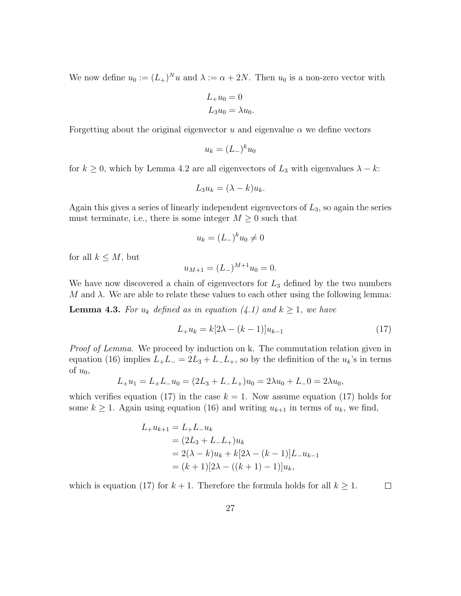We now define  $u_0 := (L_+)^N u$  and  $\lambda := \alpha + 2N$ . Then  $u_0$  is a non-zero vector with

$$
L_{+}u_{0}=0
$$
  

$$
L_{3}u_{0}=\lambda u_{0}.
$$

Forgetting about the original eigenvector u and eigenvalue  $\alpha$  we define vectors

$$
u_k = (L_{-})^k u_0
$$

for  $k \geq 0$ , which by Lemma 4.2 are all eigenvectors of  $L_3$  with eigenvalues  $\lambda - k$ :

$$
L_3 u_k = (\lambda - k) u_k.
$$

Again this gives a series of linearly independent eigenvectors of  $L_3$ , so again the series must terminate, i.e., there is some integer  $M \geq 0$  such that

$$
u_k = (L_{-})^k u_0 \neq 0
$$

for all  $k \leq M$ , but

$$
u_{M+1} = (L_{-})^{M+1} u_0 = 0.
$$

We have now discovered a chain of eigenvectors for  $L_3$  defined by the two numbers M and  $\lambda$ . We are able to relate these values to each other using the following lemma:

**Lemma 4.3.** For  $u_k$  defined as in equation (4.1) and  $k \geq 1$ , we have

$$
L_{+}u_{k} = k[2\lambda - (k-1)]u_{k-1}
$$
\n(17)

Proof of Lemma. We proceed by induction on k. The commutation relation given in equation (16) implies  $L_+L_- = 2L_3 + L_-L_+$ , so by the definition of the  $u_k$ 's in terms of  $u_0$ ,

$$
L_{+}u_{1} = L_{+}L_{-}u_{0} = (2L_{3} + L_{-}L_{+})u_{0} = 2\lambda u_{0} + L_{-}0 = 2\lambda u_{0},
$$

which verifies equation (17) in the case  $k = 1$ . Now assume equation (17) holds for some  $k \geq 1$ . Again using equation (16) and writing  $u_{k+1}$  in terms of  $u_k$ , we find,

$$
L_{+}u_{k+1} = L_{+}L_{-}u_{k}
$$
  
=  $(2L_{3} + L_{-}L_{+})u_{k}$   
=  $2(\lambda - k)u_{k} + k[2\lambda - (k - 1)]L_{-}u_{k-1}$   
=  $(k + 1)[2\lambda - ((k + 1) - 1)]u_{k},$ 

which is equation (17) for  $k + 1$ . Therefore the formula holds for all  $k \geq 1$ .  $\Box$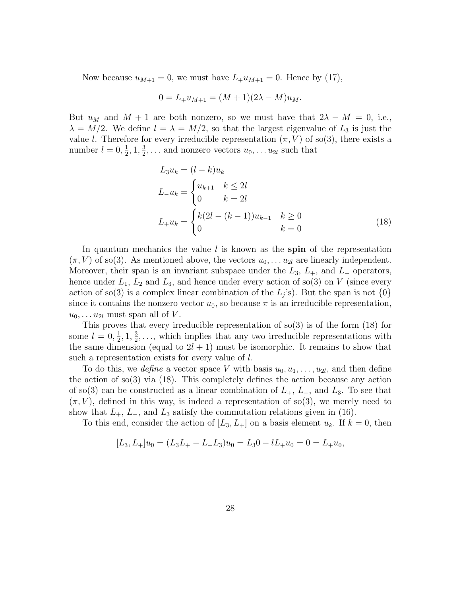Now because  $u_{M+1} = 0$ , we must have  $L_+u_{M+1} = 0$ . Hence by (17),

$$
0 = L_{+}u_{M+1} = (M+1)(2\lambda - M)u_{M}.
$$

But  $u_M$  and  $M + 1$  are both nonzero, so we must have that  $2\lambda - M = 0$ , i.e.,  $\lambda = M/2$ . We define  $l = \lambda = M/2$ , so that the largest eigenvalue of  $L_3$  is just the value l. Therefore for every irreducible representation  $(\pi, V)$  of so(3), there exists a number  $l = 0, \frac{1}{2}, 1, \frac{3}{2}, \dots$  and nonzero vectors  $u_0, \dots u_{2l}$  such that

$$
L_3 u_k = (l - k) u_k
$$
  
\n
$$
L_- u_k = \begin{cases} u_{k+1} & k \le 2l \\ 0 & k = 2l \end{cases}
$$
  
\n
$$
L_+ u_k = \begin{cases} k(2l - (k-1))u_{k-1} & k \ge 0 \\ 0 & k = 0 \end{cases}
$$
 (18)

In quantum mechanics the value  $l$  is known as the spin of the representation  $(\pi, V)$  of so(3). As mentioned above, the vectors  $u_0, \ldots u_{2l}$  are linearly independent. Moreover, their span is an invariant subspace under the  $L_3$ ,  $L_+$ , and  $L_-$  operators, hence under  $L_1$ ,  $L_2$  and  $L_3$ , and hence under every action of so(3) on V (since every action of so(3) is a complex linear combination of the  $L_j$ 's). But the span is not  $\{0\}$ since it contains the nonzero vector  $u_0$ , so because  $\pi$  is an irreducible representation,  $u_0, \ldots u_{2l}$  must span all of V.

This proves that every irreducible representation of  $\text{so}(3)$  is of the form  $(18)$  for some  $l = 0, \frac{1}{2}, 1, \frac{3}{2}, \ldots$ , which implies that any two irreducible representations with the same dimension (equal to  $2l + 1$ ) must be isomorphic. It remains to show that such a representation exists for every value of l.

To do this, we *define* a vector space V with basis  $u_0, u_1, \ldots, u_{2l}$ , and then define the action of so(3) via (18). This completely defines the action because any action of so(3) can be constructed as a linear combination of  $L_+$ ,  $L_-$ , and  $L_3$ . To see that  $(\pi, V)$ , defined in this way, is indeed a representation of so(3), we merely need to show that  $L_+$ ,  $L_-$ , and  $L_3$  satisfy the commutation relations given in (16).

To this end, consider the action of  $[L_3, L_+]$  on a basis element  $u_k$ . If  $k = 0$ , then

$$
[L_3, L_+]u_0 = (L_3L_+ - L_+L_3)u_0 = L_30 - lL_+u_0 = 0 = L_+u_0,
$$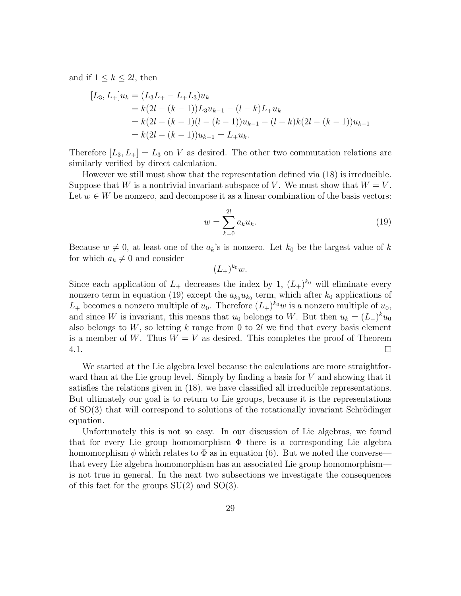and if  $1 \leq k \leq 2l$ , then

$$
[L_3, L_+]u_k = (L_3L_+ - L_+L_3)u_k
$$
  
=  $k(2l - (k - 1))L_3u_{k-1} - (l - k)L_+u_k$   
=  $k(2l - (k - 1)(l - (k - 1))u_{k-1} - (l - k)k(2l - (k - 1))u_{k-1}$   
=  $k(2l - (k - 1))u_{k-1} = L_+u_k$ .

Therefore  $[L_3, L_+] = L_3$  on V as desired. The other two commutation relations are similarly verified by direct calculation.

However we still must show that the representation defined via (18) is irreducible. Suppose that W is a nontrivial invariant subspace of V. We must show that  $W = V$ . Let  $w \in W$  be nonzero, and decompose it as a linear combination of the basis vectors:

$$
w = \sum_{k=0}^{2l} a_k u_k.
$$
 (19)

Because  $w \neq 0$ , at least one of the  $a_k$ 's is nonzero. Let  $k_0$  be the largest value of k for which  $a_k \neq 0$  and consider

 $(L_{+})^{k_{0}}w.$ 

Since each application of  $L_+$  decreases the index by 1,  $(L_+)^{k_0}$  will eliminate every nonzero term in equation (19) except the  $a_{k_0}u_{k_0}$  term, which after  $k_0$  applications of  $L_+$  becomes a nonzero multiple of  $u_0$ . Therefore  $(L_+)^{k_0}w$  is a nonzero multiple of  $u_0$ , and since W is invariant, this means that  $u_0$  belongs to W. But then  $u_k = (L_{-})^k u_0$ also belongs to  $W$ , so letting k range from 0 to 2l we find that every basis element is a member of W. Thus  $W = V$  as desired. This completes the proof of Theorem  $\Box$ 4.1.

We started at the Lie algebra level because the calculations are more straightforward than at the Lie group level. Simply by finding a basis for  $V$  and showing that it satisfies the relations given in (18), we have classified all irreducible representations. But ultimately our goal is to return to Lie groups, because it is the representations of  $SO(3)$  that will correspond to solutions of the rotationally invariant Schrödinger equation.

Unfortunately this is not so easy. In our discussion of Lie algebras, we found that for every Lie group homomorphism  $\Phi$  there is a corresponding Lie algebra homomorphism  $\phi$  which relates to  $\Phi$  as in equation (6). But we noted the conversethat every Lie algebra homomorphism has an associated Lie group homomorphism is not true in general. In the next two subsections we investigate the consequences of this fact for the groups  $SU(2)$  and  $SO(3)$ .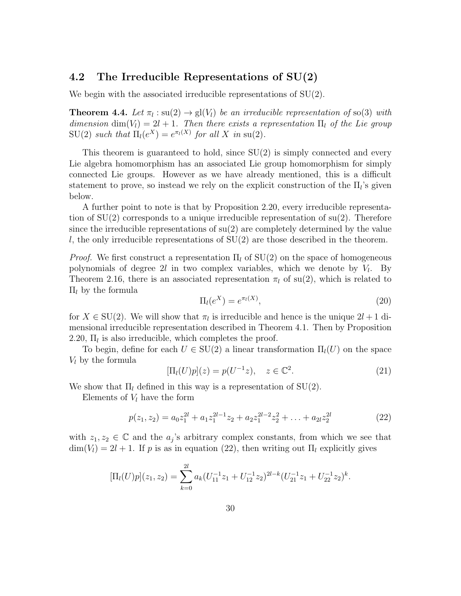### 4.2 The Irreducible Representations of SU(2)

We begin with the associated irreducible representations of  $SU(2)$ .

**Theorem 4.4.** Let  $\pi_l : \text{su}(2) \to \text{gl}(V_l)$  be an irreducible representation of so(3) with dimension dim(V<sub>l</sub>) = 2l + 1. Then there exists a representation  $\Pi_l$  of the Lie group  $SU(2)$  such that  $\Pi_l(e^X) = e^{\pi_l(X)}$  for all X in su(2).

This theorem is guaranteed to hold, since  $SU(2)$  is simply connected and every Lie algebra homomorphism has an associated Lie group homomorphism for simply connected Lie groups. However as we have already mentioned, this is a difficult statement to prove, so instead we rely on the explicit construction of the  $\Pi_l$ 's given below.

A further point to note is that by Proposition 2.20, every irreducible representation of  $SU(2)$  corresponds to a unique irreducible representation of  $su(2)$ . Therefore since the irreducible representations of  $su(2)$  are completely determined by the value l, the only irreducible representations of  $SU(2)$  are those described in the theorem.

*Proof.* We first construct a representation  $\Pi_l$  of  $SU(2)$  on the space of homogeneous polynomials of degree  $2l$  in two complex variables, which we denote by  $V_l$ . By Theorem 2.16, there is an associated representation  $\pi_l$  of su(2), which is related to  $\Pi$ <sub>l</sub> by the formula

$$
\Pi_l(e^X) = e^{\pi_l(X)},\tag{20}
$$

for  $X \in SU(2)$ . We will show that  $\pi_l$  is irreducible and hence is the unique  $2l + 1$  dimensional irreducible representation described in Theorem 4.1. Then by Proposition 2.20,  $\Pi_l$  is also irreducible, which completes the proof.

To begin, define for each  $U \in SU(2)$  a linear transformation  $\Pi_l(U)$  on the space  $V_l$  by the formula

$$
[\Pi_l(U)p](z) = p(U^{-1}z), \quad z \in \mathbb{C}^2.
$$
 (21)

We show that  $\Pi_l$  defined in this way is a representation of SU(2).

Elements of  $V_l$  have the form

$$
p(z_1, z_2) = a_0 z_1^{2l} + a_1 z_1^{2l-1} z_2 + a_2 z_1^{2l-2} z_2^2 + \ldots + a_{2l} z_2^{2l}
$$
 (22)

with  $z_1, z_2 \in \mathbb{C}$  and the  $a_j$ 's arbitrary complex constants, from which we see that  $\dim(V_l) = 2l + 1$ . If p is as in equation (22), then writing out  $\Pi_l$  explicitly gives

$$
[\Pi_l(U)p](z_1, z_2) = \sum_{k=0}^{2l} a_k (U_{11}^{-1}z_1 + U_{12}^{-1}z_2)^{2l-k} (U_{21}^{-1}z_1 + U_{22}^{-1}z_2)^k.
$$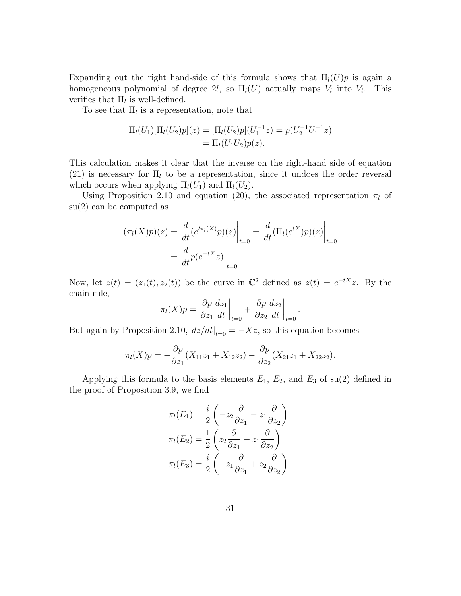Expanding out the right hand-side of this formula shows that  $\Pi_l(U)p$  is again a homogeneous polynomial of degree 2l, so  $\Pi_l(U)$  actually maps  $V_l$  into  $V_l$ . This verifies that  $\Pi_l$  is well-defined.

To see that  $\Pi_l$  is a representation, note that

$$
\Pi_l(U_1)[\Pi_l(U_2)p](z) = [\Pi_l(U_2)p](U_1^{-1}z) = p(U_2^{-1}U_1^{-1}z)
$$
  
=  $\Pi_l(U_1U_2)p(z)$ .

This calculation makes it clear that the inverse on the right-hand side of equation (21) is necessary for  $\Pi_l$  to be a representation, since it undoes the order reversal which occurs when applying  $\Pi_l(U_1)$  and  $\Pi_l(U_2)$ .

Using Proposition 2.10 and equation (20), the associated representation  $\pi_l$  of su(2) can be computed as

$$
(\pi_l(X)p)(z) = \frac{d}{dt} (e^{t\pi_l(X)}p)(z)\Big|_{t=0} = \frac{d}{dt} (\Pi_l(e^{tX})p)(z)\Big|_{t=0}
$$

$$
= \frac{d}{dt}p(e^{-tX}z)\Big|_{t=0}.
$$

Now, let  $z(t) = (z_1(t), z_2(t))$  be the curve in  $\mathbb{C}^2$  defined as  $z(t) = e^{-tX}z$ . By the chain rule,

$$
\pi_l(X)p = \left. \frac{\partial p}{\partial z_1} \frac{dz_1}{dt} \right|_{t=0} + \left. \frac{\partial p}{\partial z_2} \frac{dz_2}{dt} \right|_{t=0}.
$$

But again by Proposition 2.10,  $dz/dt|_{t=0} = -Xz$ , so this equation becomes

$$
\pi_l(X)p = -\frac{\partial p}{\partial z_1}(X_{11}z_1 + X_{12}z_2) - \frac{\partial p}{\partial z_2}(X_{21}z_1 + X_{22}z_2).
$$

Applying this formula to the basis elements  $E_1$ ,  $E_2$ , and  $E_3$  of su(2) defined in the proof of Proposition 3.9, we find

$$
\pi_l(E_1) = \frac{i}{2} \left( -z_2 \frac{\partial}{\partial z_1} - z_1 \frac{\partial}{\partial z_2} \right)
$$

$$
\pi_l(E_2) = \frac{1}{2} \left( z_2 \frac{\partial}{\partial z_1} - z_1 \frac{\partial}{\partial z_2} \right)
$$

$$
\pi_l(E_3) = \frac{i}{2} \left( -z_1 \frac{\partial}{\partial z_1} + z_2 \frac{\partial}{\partial z_2} \right).
$$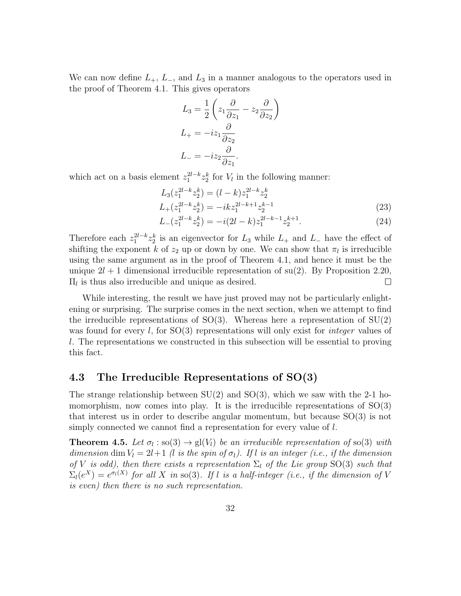We can now define  $L_+$ ,  $L_-$ , and  $L_3$  in a manner analogous to the operators used in the proof of Theorem 4.1. This gives operators

$$
L_3 = \frac{1}{2} \left( z_1 \frac{\partial}{\partial z_1} - z_2 \frac{\partial}{\partial z_2} \right)
$$
  
\n
$$
L_+ = -iz_1 \frac{\partial}{\partial z_2}
$$
  
\n
$$
L_- = -iz_2 \frac{\partial}{\partial z_1}.
$$

which act on a basis element  $z_1^{2l-k} z_2^k$  for  $V_l$  in the following manner:

$$
L_3(z_1^{2l-k}z_2^k) = (l-k)z_1^{2l-k}z_2^k
$$
  

$$
L_+(z_1^{2l-k}z_2^k) = -ikz_1^{2l-k+1}z_2^{k-1}
$$
 (23)

$$
L_{-}(z_1^{2l-k}z_2^k) = -i(2l-k)z_1^{2l-k-1}z_2^{k+1}.
$$
\n(24)

Therefore each  $z_1^{2l-k} z_2^k$  is an eigenvector for  $L_3$  while  $L_+$  and  $L_-$  have the effect of shifting the exponent k of  $z_2$  up or down by one. We can show that  $\pi_l$  is irreducible using the same argument as in the proof of Theorem 4.1, and hence it must be the unique  $2l + 1$  dimensional irreducible representation of su(2). By Proposition 2.20,  $\Pi_l$  is thus also irreducible and unique as desired.  $\Box$ 

While interesting, the result we have just proved may not be particularly enlightening or surprising. The surprise comes in the next section, when we attempt to find the irreducible representations of  $SO(3)$ . Whereas here a representation of  $SU(2)$ was found for every l, for  $SO(3)$  representations will only exist for *integer* values of l. The representations we constructed in this subsection will be essential to proving this fact.

## 4.3 The Irreducible Representations of SO(3)

The strange relationship between  $SU(2)$  and  $SO(3)$ , which we saw with the 2-1 homomorphism, now comes into play. It is the irreducible representations of  $SO(3)$ that interest us in order to describe angular momentum, but because SO(3) is not simply connected we cannot find a representation for every value of l.

**Theorem 4.5.** Let  $\sigma_l : \text{so}(3) \to \text{gl}(V_l)$  be an irreducible representation of so(3) with dimension dim  $V_l = 2l+1$  (l is the spin of  $\sigma_l$ ). If l is an integer (i.e., if the dimension of V is odd), then there exists a representation  $\Sigma_l$  of the Lie group SO(3) such that  $\Sigma_l(e^X) = e^{\sigma_l(X)}$  for all X in so(3). If l is a half-integer (i.e., if the dimension of V is even) then there is no such representation.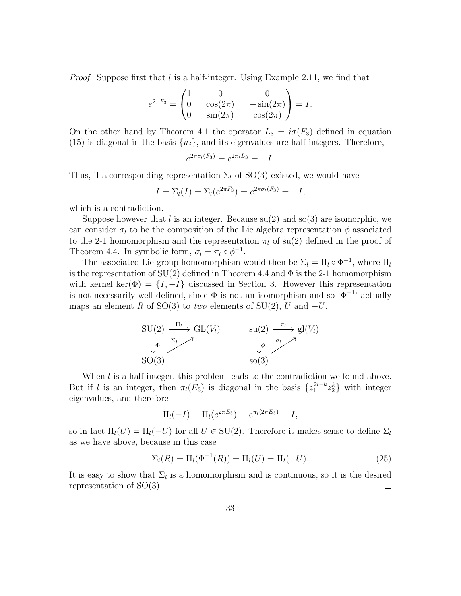*Proof.* Suppose first that l is a half-integer. Using Example 2.11, we find that

$$
e^{2\pi F_3} = \begin{pmatrix} 1 & 0 & 0 \\ 0 & \cos(2\pi) & -\sin(2\pi) \\ 0 & \sin(2\pi) & \cos(2\pi) \end{pmatrix} = I.
$$

On the other hand by Theorem 4.1 the operator  $L_3 = i\sigma(F_3)$  defined in equation (15) is diagonal in the basis  $\{u_j\}$ , and its eigenvalues are half-integers. Therefore,

$$
e^{2\pi\sigma_l(F_3)} = e^{2\pi iL_3} = -I.
$$

Thus, if a corresponding representation  $\Sigma_l$  of SO(3) existed, we would have

$$
I = \Sigma_l(I) = \Sigma_l(e^{2\pi F_3}) = e^{2\pi \sigma_l(F_3)} = -I,
$$

which is a contradiction.

Suppose however that l is an integer. Because  $su(2)$  and  $so(3)$  are isomorphic, we can consider  $\sigma_l$  to be the composition of the Lie algebra representation  $\phi$  associated to the 2-1 homomorphism and the representation  $\pi_l$  of su(2) defined in the proof of Theorem 4.4. In symbolic form,  $\sigma_l = \pi_l \circ \phi^{-1}$ .

The associated Lie group homomorphism would then be  $\Sigma_l = \Pi_l \circ \Phi^{-1}$ , where  $\Pi_l$ is the representation of  $SU(2)$  defined in Theorem 4.4 and  $\Phi$  is the 2-1 homomorphism with kernel ker( $\Phi$ ) = { $I, -I$ } discussed in Section 3. However this representation is not necessarily well-defined, since  $\Phi$  is not an isomorphism and so ' $\Phi^{-1}$ ' actually maps an element R of SO(3) to two elements of SU(2), U and  $-U$ .



When *l* is a half-integer, this problem leads to the contradiction we found above. But if l is an integer, then  $\pi_l(E_3)$  is diagonal in the basis  $\{z_1^{2l-k}z_2^k\}$  with integer eigenvalues, and therefore

$$
\Pi_l(-I) = \Pi_l(e^{2\pi E_3}) = e^{\pi_l(2\pi E_3)} = I,
$$

so in fact  $\Pi_l(U) = \Pi_l(-U)$  for all  $U \in SU(2)$ . Therefore it makes sense to define  $\Sigma_l$ as we have above, because in this case

$$
\Sigma_l(R) = \Pi_l(\Phi^{-1}(R)) = \Pi_l(U) = \Pi_l(-U). \tag{25}
$$

It is easy to show that  $\Sigma_l$  is a homomorphism and is continuous, so it is the desired representation of SO(3).  $\Box$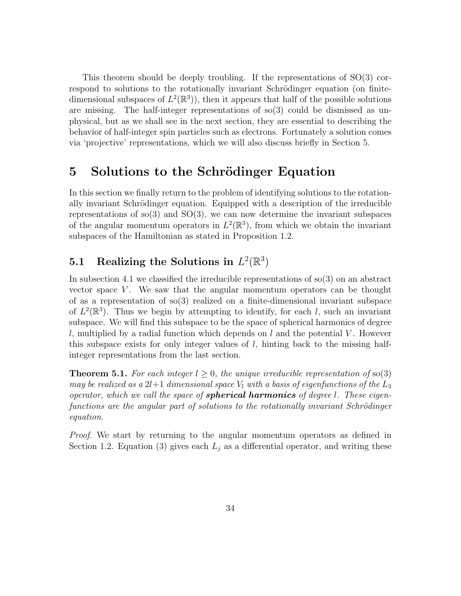This theorem should be deeply troubling. If the representations of SO(3) correspond to solutions to the rotationally invariant Schrödinger equation (on finitedimensional subspaces of  $L^2(\mathbb{R}^3)$ , then it appears that half of the possible solutions are missing. The half-integer representations of  $\mathfrak{so}(3)$  could be dismissed as unphysical, but as we shall see in the next section, they are essential to describing the behavior of half-integer spin particles such as electrons. Fortunately a solution comes via 'projective' representations, which we will also discuss briefly in Section 5.

# 5 Solutions to the Schrödinger Equation

In this section we finally return to the problem of identifying solutions to the rotationally invariant Schrödinger equation. Equipped with a description of the irreducible representations of so(3) and  $SO(3)$ , we can now determine the invariant subspaces of the angular momentum operators in  $L^2(\mathbb{R}^3)$ , from which we obtain the invariant subspaces of the Hamiltonian as stated in Proposition 1.2.

# 5.1 Realizing the Solutions in  $L^2(\mathbb{R}^3)$

In subsection 4.1 we classified the irreducible representations of  $\mathfrak{so}(3)$  on an abstract vector space  $V$ . We saw that the angular momentum operators can be thought of as a representation of  $\mathfrak{so}(3)$  realized on a finite-dimensional invariant subspace of  $L^2(\mathbb{R}^3)$ . Thus we begin by attempting to identify, for each l, such an invariant subspace. We will find this subspace to be the space of spherical harmonics of degree l, multiplied by a radial function which depends on l and the potential V. However this subspace exists for only integer values of  $l$ , hinting back to the missing halfinteger representations from the last section.

**Theorem 5.1.** For each integer  $l \geq 0$ , the unique irreducible representation of so(3) may be realized as a  $2l+1$  dimensional space  $V_l$  with a basis of eigenfunctions of the  $L_3$ operator, which we call the space of **spherical harmonics** of degree l. These eigenfunctions are the angular part of solutions to the rotationally invariant Schrödinger equation.

Proof. We start by returning to the angular momentum operators as defined in Section 1.2. Equation (3) gives each  $L_j$  as a differential operator, and writing these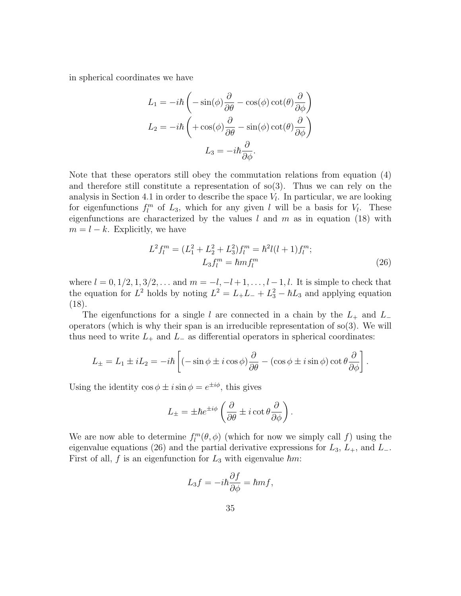in spherical coordinates we have

$$
L_1 = -i\hbar \left( -\sin(\phi) \frac{\partial}{\partial \theta} - \cos(\phi) \cot(\theta) \frac{\partial}{\partial \phi} \right)
$$

$$
L_2 = -i\hbar \left( +\cos(\phi) \frac{\partial}{\partial \theta} - \sin(\phi) \cot(\theta) \frac{\partial}{\partial \phi} \right)
$$

$$
L_3 = -i\hbar \frac{\partial}{\partial \phi}.
$$

Note that these operators still obey the commutation relations from equation (4) and therefore still constitute a representation of  $\text{so}(3)$ . Thus we can rely on the analysis in Section 4.1 in order to describe the space  $V_l$ . In particular, we are looking for eigenfunctions  $f_l^m$  of  $L_3$ , which for any given l will be a basis for  $V_l$ . These eigenfunctions are characterized by the values  $l$  and  $m$  as in equation (18) with  $m = l - k$ . Explicitly, we have

$$
L^{2}f_{l}^{m} = (L_{1}^{2} + L_{2}^{2} + L_{3}^{2})f_{l}^{m} = \hbar^{2}l(l+1)f_{l}^{m};
$$
  
\n
$$
L_{3}f_{l}^{m} = \hbar mf_{l}^{m}
$$
\n(26)

where  $l = 0, 1/2, 1, 3/2, \ldots$  and  $m = -l, -l + 1, \ldots, l - 1, l$ . It is simple to check that the equation for  $L^2$  holds by noting  $L^2 = L_+L_- + L_3^2 - \hbar L_3$  and applying equation (18).

The eigenfunctions for a single l are connected in a chain by the  $L_{+}$  and  $L_{-}$ operators (which is why their span is an irreducible representation of  $\mathfrak{so}(3)$ . We will thus need to write  $L_+$  and  $L_-$  as differential operators in spherical coordinates:

$$
L_{\pm} = L_1 \pm iL_2 = -i\hbar \left[ \left( -\sin \phi \pm i \cos \phi \right) \frac{\partial}{\partial \theta} - \left( \cos \phi \pm i \sin \phi \right) \cot \theta \frac{\partial}{\partial \phi} \right].
$$

Using the identity  $\cos \phi \pm i \sin \phi = e^{\pm i\phi}$ , this gives

$$
L_{\pm} = \pm \hbar e^{\pm i\phi} \left( \frac{\partial}{\partial \theta} \pm i \cot \theta \frac{\partial}{\partial \phi} \right).
$$

We are now able to determine  $f_l^m(\theta, \phi)$  (which for now we simply call f) using the eigenvalue equations (26) and the partial derivative expressions for  $L_3$ ,  $L_+$ , and  $L_-$ . First of all, f is an eigenfunction for  $L_3$  with eigenvalue  $\hbar m$ :

$$
L_3f = -i\hbar \frac{\partial f}{\partial \phi} = \hbar m f,
$$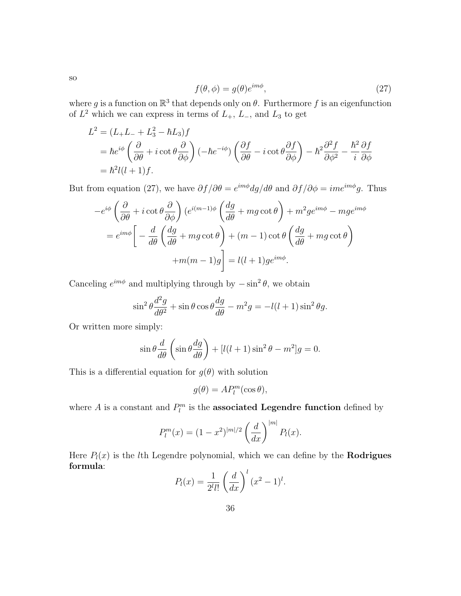$$
f(\theta, \phi) = g(\theta)e^{im\phi}, \qquad (27)
$$

where g is a function on  $\mathbb{R}^3$  that depends only on  $\theta$ . Furthermore f is an eigenfunction of  $L^2$  which we can express in terms of  $L_+$ ,  $L_-$ , and  $L_3$  to get

$$
L^{2} = (L_{+}L_{-} + L_{3}^{2} - \hbar L_{3})f
$$
  
=  $\hbar e^{i\phi} \left(\frac{\partial}{\partial \theta} + i \cot \theta \frac{\partial}{\partial \phi}\right) \left(-\hbar e^{-i\phi}\right) \left(\frac{\partial f}{\partial \theta} - i \cot \theta \frac{\partial f}{\partial \phi}\right) - \hbar^{2} \frac{\partial^{2} f}{\partial \phi^{2}} - \frac{\hbar^{2}}{i} \frac{\partial f}{\partial \phi}$   
=  $\hbar^{2} l(l+1) f$ .

But from equation (27), we have  $\partial f/\partial \theta = e^{im\phi} dg/d\theta$  and  $\partial f/\partial \phi = im e^{im\phi}g$ . Thus

$$
-e^{i\phi} \left(\frac{\partial}{\partial \theta} + i \cot \theta \frac{\partial}{\partial \phi}\right) (e^{i(m-1)\phi} \left(\frac{dg}{d\theta} + mg \cot \theta\right) + m^2 g e^{im\phi} - mg e^{im\phi}
$$

$$
= e^{im\phi} \left[ -\frac{d}{d\theta} \left(\frac{dg}{d\theta} + mg \cot \theta\right) + (m-1) \cot \theta \left(\frac{dg}{d\theta} + mg \cot \theta\right) + m(m-1)g \right] = l(l+1)g e^{im\phi}.
$$

Canceling  $e^{im\phi}$  and multiplying through by  $-\sin^2\theta$ , we obtain

$$
\sin^2 \theta \frac{d^2 g}{d\theta^2} + \sin \theta \cos \theta \frac{dg}{d\theta} - m^2 g = -l(l+1)\sin^2 \theta g.
$$

Or written more simply:

$$
\sin \theta \frac{d}{d\theta} \left( \sin \theta \frac{dg}{d\theta} \right) + [l(l+1)\sin^2 \theta - m^2]g = 0.
$$

This is a differential equation for  $g(\theta)$  with solution

$$
g(\theta) = AP_l^m(\cos \theta),
$$

where A is a constant and  $P_l^m$  is the **associated Legendre function** defined by

$$
P_l^m(x) = (1 - x^2)^{|m|/2} \left(\frac{d}{dx}\right)^{|m|} P_l(x).
$$

Here  $P_l(x)$  is the *l*th Legendre polynomial, which we can define by the **Rodrigues** formula:

$$
P_l(x) = \frac{1}{2^l l!} \left(\frac{d}{dx}\right)^l (x^2 - 1)^l.
$$

36

so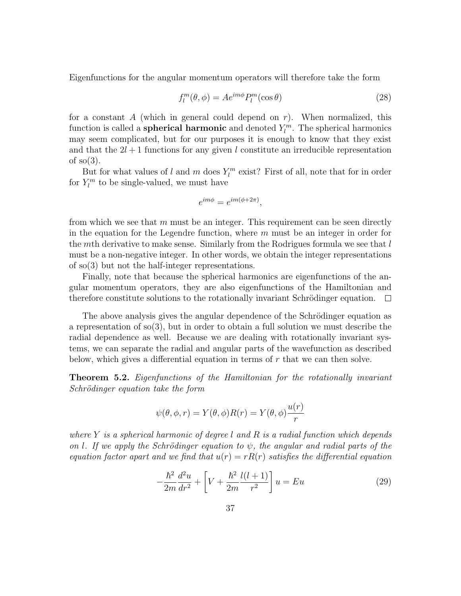Eigenfunctions for the angular momentum operators will therefore take the form

$$
f_l^m(\theta, \phi) = A e^{im\phi} P_l^m(\cos \theta)
$$
 (28)

for a constant A (which in general could depend on  $r$ ). When normalized, this function is called a **spherical harmonic** and denoted  $Y_l^m$ . The spherical harmonics may seem complicated, but for our purposes it is enough to know that they exist and that the  $2l + 1$  functions for any given l constitute an irreducible representation of  $so(3)$ .

But for what values of l and m does  $Y_l^m$  exist? First of all, note that for in order for  $Y_l^m$  to be single-valued, we must have

$$
e^{im\phi} = e^{im(\phi + 2\pi)},
$$

from which we see that  $m$  must be an integer. This requirement can be seen directly in the equation for the Legendre function, where  $m$  must be an integer in order for the mth derivative to make sense. Similarly from the Rodrigues formula we see that  $l$ must be a non-negative integer. In other words, we obtain the integer representations of so(3) but not the half-integer representations.

Finally, note that because the spherical harmonics are eigenfunctions of the angular momentum operators, they are also eigenfunctions of the Hamiltonian and therefore constitute solutions to the rotationally invariant Schrödinger equation.  $\Box$ 

The above analysis gives the angular dependence of the Schrödinger equation as a representation of so(3), but in order to obtain a full solution we must describe the radial dependence as well. Because we are dealing with rotationally invariant systems, we can separate the radial and angular parts of the wavefunction as described below, which gives a differential equation in terms of r that we can then solve.

Theorem 5.2. Eigenfunctions of the Hamiltonian for the rotationally invariant Schrödinger equation take the form

$$
\psi(\theta, \phi, r) = Y(\theta, \phi)R(r) = Y(\theta, \phi)\frac{u(r)}{r}
$$

where Y is a spherical harmonic of degree l and R is a radial function which depends on l. If we apply the Schrödinger equation to  $\psi$ , the angular and radial parts of the equation factor apart and we find that  $u(r) = rR(r)$  satisfies the differential equation

$$
-\frac{\hbar^2}{2m}\frac{d^2u}{dr^2} + \left[V + \frac{\hbar^2}{2m}\frac{l(l+1)}{r^2}\right]u = Eu\tag{29}
$$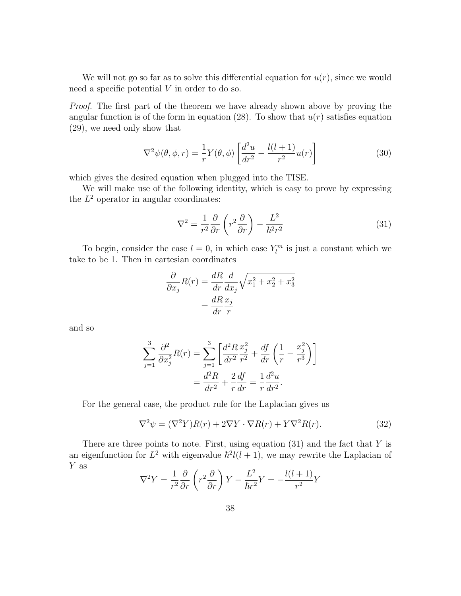We will not go so far as to solve this differential equation for  $u(r)$ , since we would need a specific potential V in order to do so.

Proof. The first part of the theorem we have already shown above by proving the angular function is of the form in equation (28). To show that  $u(r)$  satisfies equation (29), we need only show that

$$
\nabla^2 \psi(\theta, \phi, r) = \frac{1}{r} Y(\theta, \phi) \left[ \frac{d^2 u}{dr^2} - \frac{l(l+1)}{r^2} u(r) \right]
$$
(30)

which gives the desired equation when plugged into the TISE.

We will make use of the following identity, which is easy to prove by expressing the  $L^2$  operator in angular coordinates:

$$
\nabla^2 = \frac{1}{r^2} \frac{\partial}{\partial r} \left( r^2 \frac{\partial}{\partial r} \right) - \frac{L^2}{\hbar^2 r^2}
$$
 (31)

To begin, consider the case  $l = 0$ , in which case  $Y_l^m$  is just a constant which we take to be 1. Then in cartesian coordinates

$$
\frac{\partial}{\partial x_j} R(r) = \frac{dR}{dr} \frac{d}{dx_j} \sqrt{x_1^2 + x_2^2 + x_3^2}
$$

$$
= \frac{dR}{dr} \frac{x_j}{r}
$$

and so

$$
\sum_{j=1}^{3} \frac{\partial^2}{\partial x_j^2} R(r) = \sum_{j=1}^{3} \left[ \frac{d^2 R}{dr^2} \frac{x_j^2}{r^2} + \frac{df}{dr} \left( \frac{1}{r} - \frac{x_j^2}{r^3} \right) \right]
$$
  
=  $\frac{d^2 R}{dr^2} + \frac{2}{r} \frac{df}{dr} = \frac{1}{r} \frac{d^2 u}{dr^2}.$ 

For the general case, the product rule for the Laplacian gives us

$$
\nabla^2 \psi = (\nabla^2 Y) R(r) + 2\nabla Y \cdot \nabla R(r) + Y \nabla^2 R(r). \tag{32}
$$

There are three points to note. First, using equation  $(31)$  and the fact that Y is an eigenfunction for  $L^2$  with eigenvalue  $\hbar^2 l(l+1)$ , we may rewrite the Laplacian of Y as

$$
\nabla^2 Y = \frac{1}{r^2} \frac{\partial}{\partial r} \left( r^2 \frac{\partial}{\partial r} \right) Y - \frac{L^2}{\hbar r^2} Y = -\frac{l(l+1)}{r^2} Y
$$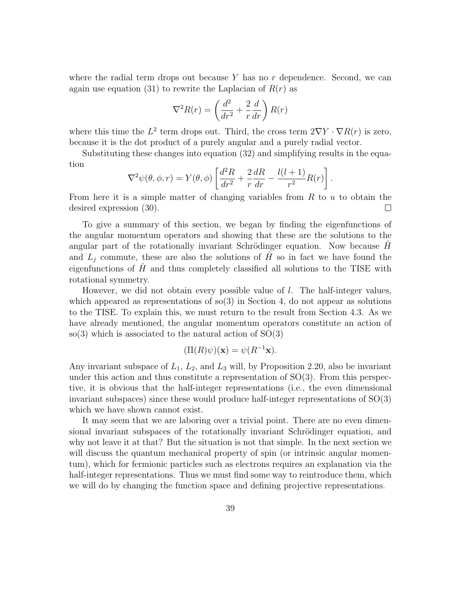where the radial term drops out because  $Y$  has no  $r$  dependence. Second, we can again use equation (31) to rewrite the Laplacian of  $R(r)$  as

$$
\nabla^2 R(r) = \left(\frac{d^2}{dr^2} + \frac{2}{r}\frac{d}{dr}\right)R(r)
$$

where this time the  $L^2$  term drops out. Third, the cross term  $2\nabla Y \cdot \nabla R(r)$  is zero, because it is the dot product of a purely angular and a purely radial vector.

Substituting these changes into equation (32) and simplifying results in the equation

$$
\nabla^2 \psi(\theta, \phi, r) = Y(\theta, \phi) \left[ \frac{d^2 R}{dr^2} + \frac{2}{r} \frac{dR}{dr} - \frac{l(l+1)}{r^2} R(r) \right].
$$

From here it is a simple matter of changing variables from  $R$  to  $u$  to obtain the desired expression (30).  $\Box$ 

To give a summary of this section, we began by finding the eigenfunctions of the angular momentum operators and showing that these are the solutions to the angular part of the rotationally invariant Schrödinger equation. Now because  $H$ and  $L_i$  commute, these are also the solutions of H so in fact we have found the eigenfunctions of  $\hat{H}$  and thus completely classified all solutions to the TISE with rotational symmetry.

However, we did not obtain every possible value of l. The half-integer values, which appeared as representations of  $\mathfrak{so}(3)$  in Section 4, do not appear as solutions to the TISE. To explain this, we must return to the result from Section 4.3. As we have already mentioned, the angular momentum operators constitute an action of so(3) which is associated to the natural action of  $SO(3)$ 

$$
(\Pi(R)\psi)(\mathbf{x}) = \psi(R^{-1}\mathbf{x}).
$$

Any invariant subspace of  $L_1$ ,  $L_2$ , and  $L_3$  will, by Proposition 2.20, also be invariant under this action and thus constitute a representation of  $SO(3)$ . From this perspective, it is obvious that the half-integer representations (i.e., the even dimensional invariant subspaces) since these would produce half-integer representations of SO(3) which we have shown cannot exist.

It may seem that we are laboring over a trivial point. There are no even dimensional invariant subspaces of the rotationally invariant Schrödinger equation, and why not leave it at that? But the situation is not that simple. In the next section we will discuss the quantum mechanical property of spin (or intrinsic angular momentum), which for fermionic particles such as electrons requires an explanation via the half-integer representations. Thus we must find some way to reintroduce them, which we will do by changing the function space and defining projective representations.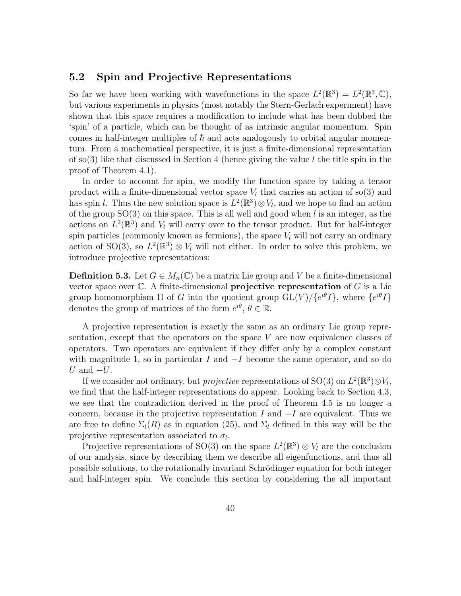## 5.2 Spin and Projective Representations

So far we have been working with wavefunctions in the space  $L^2(\mathbb{R}^3) = L^2(\mathbb{R}^3, \mathbb{C}),$ but various experiments in physics (most notably the Stern-Gerlach experiment) have shown that this space requires a modification to include what has been dubbed the 'spin' of a particle, which can be thought of as intrinsic angular momentum. Spin comes in half-integer multiples of  $\hbar$  and acts analogously to orbital angular momentum. From a mathematical perspective, it is just a finite-dimensional representation of so(3) like that discussed in Section 4 (hence giving the value l the title spin in the proof of Theorem 4.1).

In order to account for spin, we modify the function space by taking a tensor product with a finite-dimensional vector space  $V_l$  that carries an action of so(3) and has spin l. Thus the new solution space is  $L^2(\mathbb{R}^3) \otimes V_l$ , and we hope to find an action of the group  $SO(3)$  on this space. This is all well and good when l is an integer, as the actions on  $L^2(\mathbb{R}^3)$  and  $V_l$  will carry over to the tensor product. But for half-integer spin particles (commonly known as fermions), the space  $V_l$  will not carry an ordinary action of SO(3), so  $L^2(\mathbb{R}^3) \otimes V_l$  will not either. In order to solve this problem, we introduce projective representations:

**Definition 5.3.** Let  $G \in M_n(\mathbb{C})$  be a matrix Lie group and V be a finite-dimensional vector space over  $\mathbb C$ . A finite-dimensional **projective representation** of  $G$  is a Lie group homomorphism  $\Pi$  of G into the quotient group  $GL(V)/\{e^{i\theta}I\}$ , where  $\{e^{i\theta}I\}$ denotes the group of matrices of the form  $e^{i\theta}$ ,  $\theta \in \mathbb{R}$ .

A projective representation is exactly the same as an ordinary Lie group representation, except that the operators on the space  $V$  are now equivalence classes of operators. Two operators are equivalent if they differ only by a complex constant with magnitude 1, so in particular I and  $-I$  become the same operator, and so do U and  $-U$ .

If we consider not ordinary, but *projective* representations of SO(3) on  $L^2(\mathbb{R}^3) \otimes V_l$ , we find that the half-integer representations do appear. Looking back to Section 4.3, we see that the contradiction derived in the proof of Theorem 4.5 is no longer a concern, because in the projective representation I and  $-I$  are equivalent. Thus we are free to define  $\Sigma_l(R)$  as in equation (25), and  $\Sigma_l$  defined in this way will be the projective representation associated to  $\sigma_l$ .

Projective representations of SO(3) on the space  $L^2(\mathbb{R}^3) \otimes V_l$  are the conclusion of our analysis, since by describing them we describe all eigenfunctions, and thus all possible solutions, to the rotationally invariant Schrödinger equation for both integer and half-integer spin. We conclude this section by considering the all important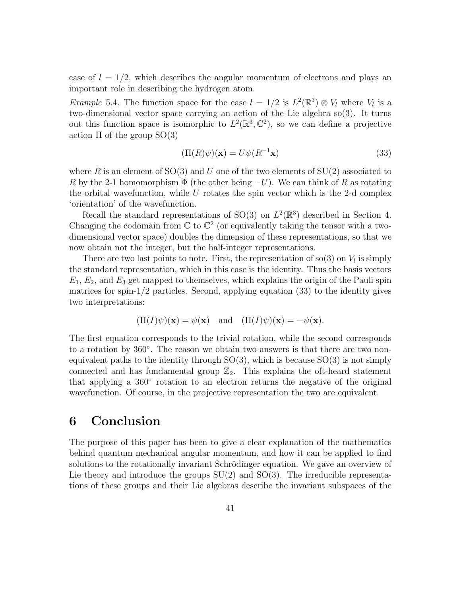case of  $l = 1/2$ , which describes the angular momentum of electrons and plays an important role in describing the hydrogen atom.

*Example* 5.4. The function space for the case  $l = 1/2$  is  $L^2(\mathbb{R}^3) \otimes V_l$  where  $V_l$  is a two-dimensional vector space carrying an action of the Lie algebra so(3). It turns out this function space is isomorphic to  $L^2(\mathbb{R}^3, \mathbb{C}^2)$ , so we can define a projective action  $\Pi$  of the group  $SO(3)$ 

$$
(\Pi(R)\psi)(\mathbf{x}) = U\psi(R^{-1}\mathbf{x})\tag{33}
$$

where R is an element of  $SO(3)$  and U one of the two elements of  $SU(2)$  associated to R by the 2-1 homomorphism  $\Phi$  (the other being  $-U$ ). We can think of R as rotating the orbital wavefunction, while  $U$  rotates the spin vector which is the 2-d complex 'orientation' of the wavefunction.

Recall the standard representations of SO(3) on  $L^2(\mathbb{R}^3)$  described in Section 4. Changing the codomain from  $\mathbb C$  to  $\mathbb C^2$  (or equivalently taking the tensor with a twodimensional vector space) doubles the dimension of these representations, so that we now obtain not the integer, but the half-integer representations.

There are two last points to note. First, the representation of  $\text{so}(3)$  on  $V_l$  is simply the standard representation, which in this case is the identity. Thus the basis vectors  $E_1, E_2$ , and  $E_3$  get mapped to themselves, which explains the origin of the Pauli spin matrices for spin-1/2 particles. Second, applying equation (33) to the identity gives two interpretations:

$$
(\Pi(I)\psi)(\mathbf{x}) = \psi(\mathbf{x})
$$
 and  $(\Pi(I)\psi)(\mathbf{x}) = -\psi(\mathbf{x}).$ 

The first equation corresponds to the trivial rotation, while the second corresponds to a rotation by 360°. The reason we obtain two answers is that there are two nonequivalent paths to the identity through  $SO(3)$ , which is because  $SO(3)$  is not simply connected and has fundamental group  $\mathbb{Z}_2$ . This explains the oft-heard statement that applying a 360° rotation to an electron returns the negative of the original wavefunction. Of course, in the projective representation the two are equivalent.

# 6 Conclusion

The purpose of this paper has been to give a clear explanation of the mathematics behind quantum mechanical angular momentum, and how it can be applied to find solutions to the rotationally invariant Schrödinger equation. We gave an overview of Lie theory and introduce the groups  $SU(2)$  and  $SO(3)$ . The irreducible representations of these groups and their Lie algebras describe the invariant subspaces of the